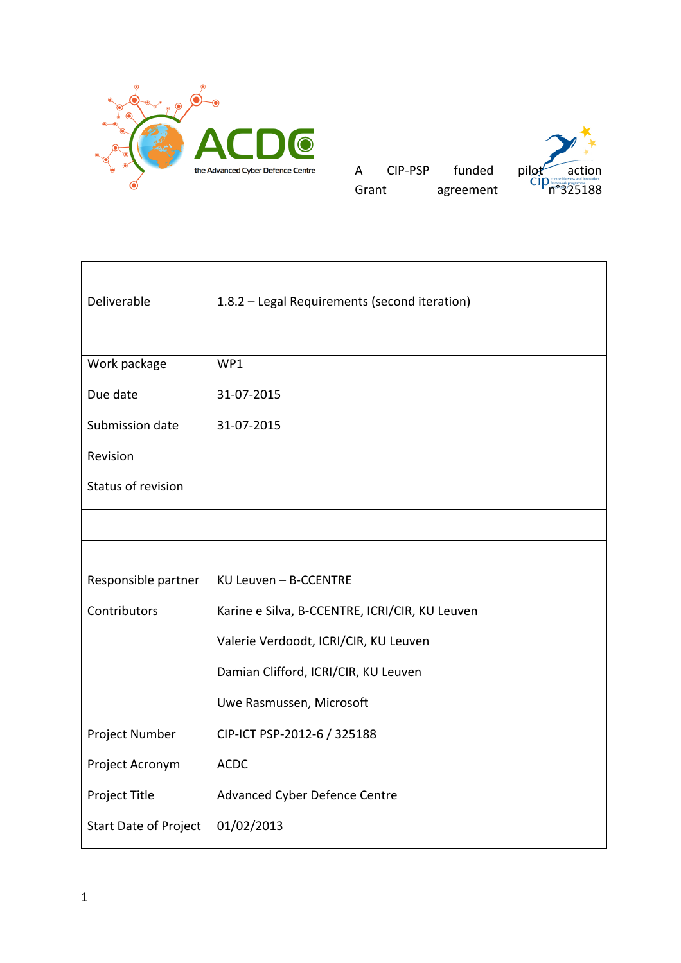

| A     | CIP-PSP | funded    |
|-------|---------|-----------|
| Grant |         | agreement |



| Deliverable                  | 1.8.2 - Legal Requirements (second iteration)  |
|------------------------------|------------------------------------------------|
|                              |                                                |
|                              |                                                |
| Work package                 | WP1                                            |
| Due date                     | 31-07-2015                                     |
| Submission date              | 31-07-2015                                     |
| Revision                     |                                                |
| Status of revision           |                                                |
|                              |                                                |
|                              |                                                |
| Responsible partner          | KU Leuven - B-CCENTRE                          |
| Contributors                 | Karine e Silva, B-CCENTRE, ICRI/CIR, KU Leuven |
|                              | Valerie Verdoodt, ICRI/CIR, KU Leuven          |
|                              | Damian Clifford, ICRI/CIR, KU Leuven           |
|                              | Uwe Rasmussen, Microsoft                       |
| Project Number               | CIP-ICT PSP-2012-6 / 325188                    |
| Project Acronym              | <b>ACDC</b>                                    |
| Project Title                | Advanced Cyber Defence Centre                  |
| <b>Start Date of Project</b> | 01/02/2013                                     |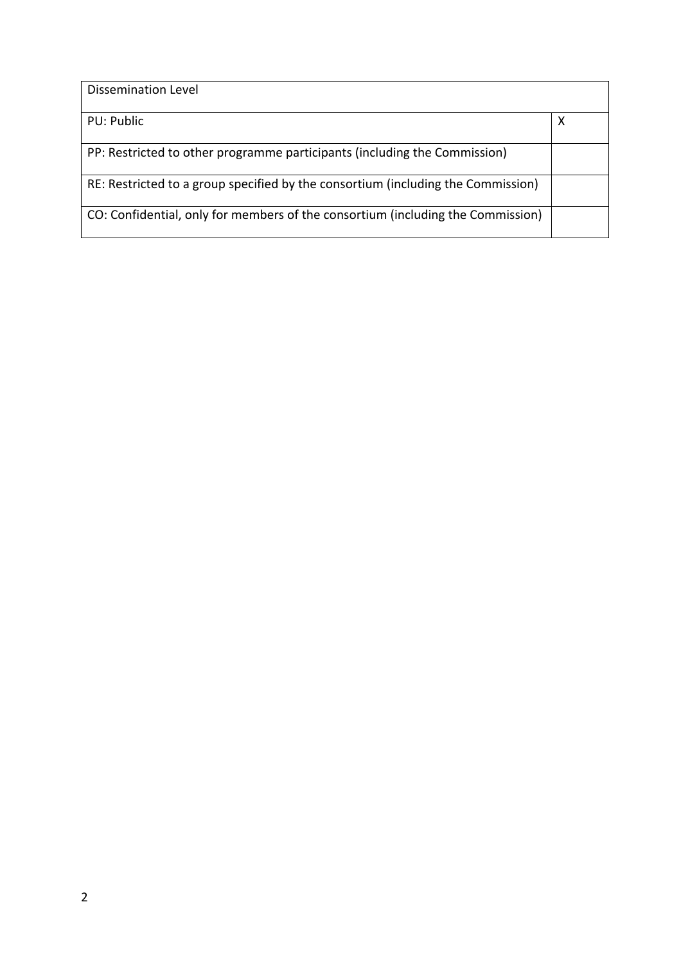| Dissemination Level                                                              |   |
|----------------------------------------------------------------------------------|---|
| PU: Public                                                                       | Х |
| PP: Restricted to other programme participants (including the Commission)        |   |
| RE: Restricted to a group specified by the consortium (including the Commission) |   |
| CO: Confidential, only for members of the consortium (including the Commission)  |   |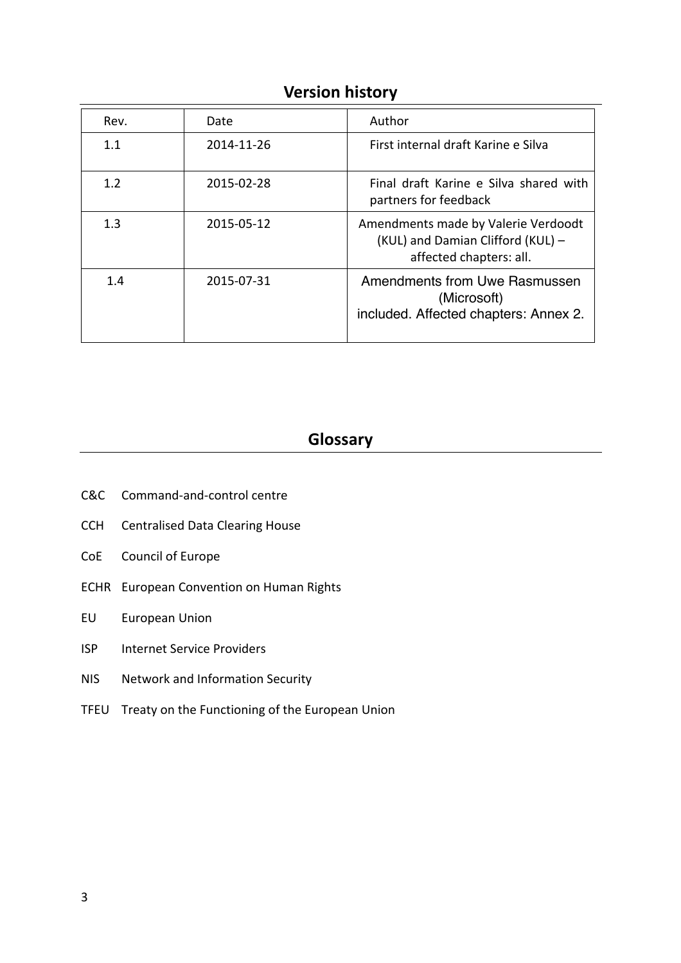| <b>Version history</b> |  |
|------------------------|--|
|------------------------|--|

| Rev. | Date       | Author                                                                                              |
|------|------------|-----------------------------------------------------------------------------------------------------|
| 1.1  | 2014-11-26 | First internal draft Karine e Silva                                                                 |
| 1.2  | 2015-02-28 | Final draft Karine e Silva shared with<br>partners for feedback                                     |
| 1.3  | 2015-05-12 | Amendments made by Valerie Verdoodt<br>(KUL) and Damian Clifford (KUL) -<br>affected chapters: all. |
| 1.4  | 2015-07-31 | Amendments from Uwe Rasmussen<br>(Microsoft)<br>included. Affected chapters: Annex 2.               |

# **Glossary**

- C&C Command-and-control centre
- CCH Centralised Data Clearing House
- CoE Council of Europe
- ECHR European Convention on Human Rights
- EU European Union
- ISP Internet Service Providers
- NIS Network and Information Security
- TFEU Treaty on the Functioning of the European Union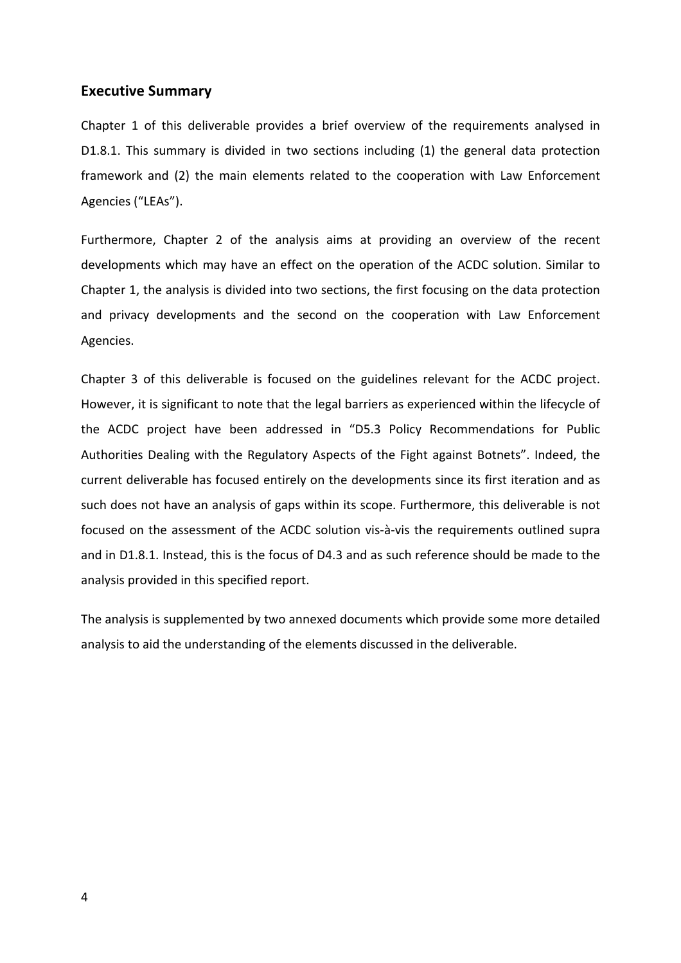### **Executive Summary**

Chapter 1 of this deliverable provides a brief overview of the requirements analysed in D1.8.1. This summary is divided in two sections including (1) the general data protection framework and (2) the main elements related to the cooperation with Law Enforcement Agencies ("LEAs").

Furthermore, Chapter 2 of the analysis aims at providing an overview of the recent developments which may have an effect on the operation of the ACDC solution. Similar to Chapter 1, the analysis is divided into two sections, the first focusing on the data protection and privacy developments and the second on the cooperation with Law Enforcement Agencies. 

Chapter 3 of this deliverable is focused on the guidelines relevant for the ACDC project. However, it is significant to note that the legal barriers as experienced within the lifecycle of the ACDC project have been addressed in "D5.3 Policy Recommendations for Public Authorities Dealing with the Regulatory Aspects of the Fight against Botnets". Indeed, the current deliverable has focused entirely on the developments since its first iteration and as such does not have an analysis of gaps within its scope. Furthermore, this deliverable is not focused on the assessment of the ACDC solution vis-à-vis the requirements outlined supra and in D1.8.1. Instead, this is the focus of D4.3 and as such reference should be made to the analysis provided in this specified report.

The analysis is supplemented by two annexed documents which provide some more detailed analysis to aid the understanding of the elements discussed in the deliverable.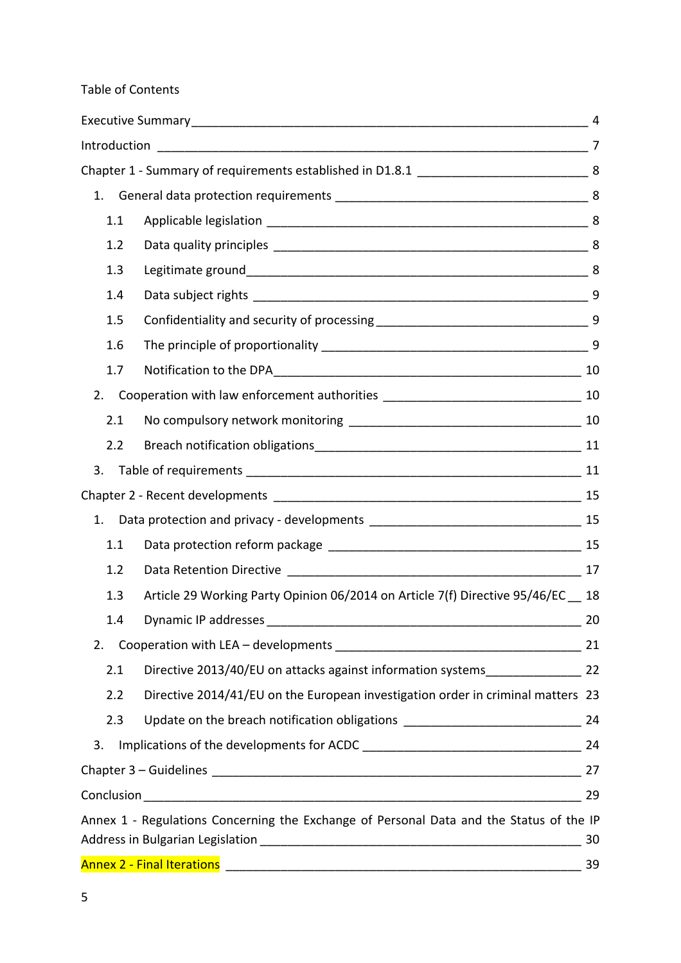## Table of Contents

|    | 1.  |                                                                                         |    |
|----|-----|-----------------------------------------------------------------------------------------|----|
|    | 1.1 |                                                                                         |    |
|    | 1.2 |                                                                                         |    |
|    | 1.3 |                                                                                         |    |
|    | 1.4 |                                                                                         |    |
|    | 1.5 |                                                                                         |    |
|    | 1.6 |                                                                                         |    |
|    | 1.7 |                                                                                         |    |
|    | 2.  |                                                                                         |    |
|    | 2.1 |                                                                                         |    |
|    | 2.2 |                                                                                         |    |
| 3. |     |                                                                                         |    |
|    |     |                                                                                         |    |
| 1. |     |                                                                                         |    |
|    | 1.1 |                                                                                         |    |
|    | 1.2 |                                                                                         |    |
|    | 1.3 | Article 29 Working Party Opinion 06/2014 on Article 7(f) Directive 95/46/EC 18          |    |
|    | 1.4 | Dynamic IP addresses                                                                    | 20 |
| 2. |     |                                                                                         | 21 |
|    | 2.1 | Directive 2013/40/EU on attacks against information systems_________________ 22         |    |
|    | 2.2 | Directive 2014/41/EU on the European investigation order in criminal matters 23         |    |
|    | 2.3 | Update on the breach notification obligations __________________________________ 24     |    |
| 3. |     |                                                                                         |    |
|    |     |                                                                                         |    |
|    |     |                                                                                         | 29 |
|    |     | Annex 1 - Regulations Concerning the Exchange of Personal Data and the Status of the IP |    |
|    |     |                                                                                         | 30 |
|    |     | <b>Annex 2 - Final Iterations</b>                                                       | 39 |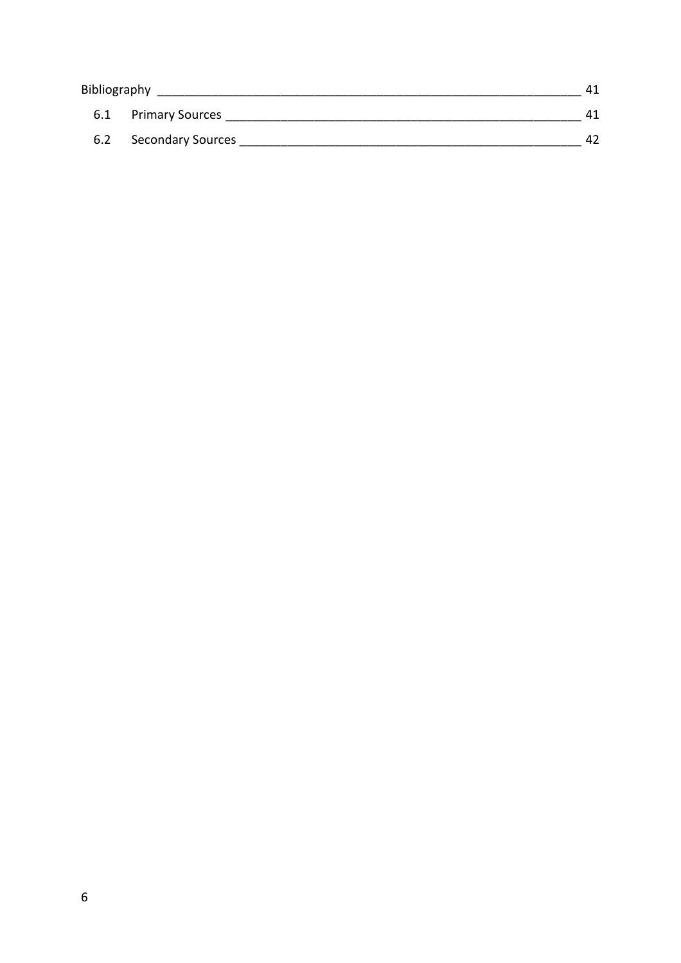| Bibliography |                          | 41 |
|--------------|--------------------------|----|
| 6.1          | <b>Primary Sources</b>   | 41 |
| 6.2          | <b>Secondary Sources</b> | 42 |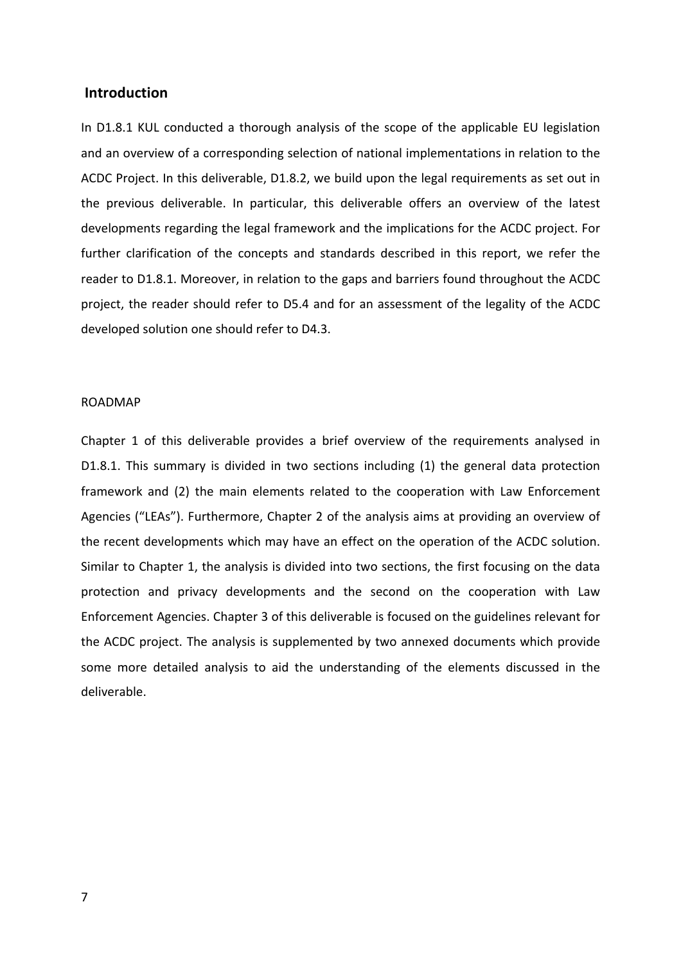### **Introduction**

In D1.8.1 KUL conducted a thorough analysis of the scope of the applicable EU legislation and an overview of a corresponding selection of national implementations in relation to the ACDC Project. In this deliverable, D1.8.2, we build upon the legal requirements as set out in the previous deliverable. In particular, this deliverable offers an overview of the latest developments regarding the legal framework and the implications for the ACDC project. For further clarification of the concepts and standards described in this report, we refer the reader to D1.8.1. Moreover, in relation to the gaps and barriers found throughout the ACDC project, the reader should refer to D5.4 and for an assessment of the legality of the ACDC developed solution one should refer to D4.3.

#### ROADMAP

Chapter 1 of this deliverable provides a brief overview of the requirements analysed in D1.8.1. This summary is divided in two sections including (1) the general data protection framework and (2) the main elements related to the cooperation with Law Enforcement Agencies ("LEAs"). Furthermore, Chapter 2 of the analysis aims at providing an overview of the recent developments which may have an effect on the operation of the ACDC solution. Similar to Chapter 1, the analysis is divided into two sections, the first focusing on the data protection and privacy developments and the second on the cooperation with Law Enforcement Agencies. Chapter 3 of this deliverable is focused on the guidelines relevant for the ACDC project. The analysis is supplemented by two annexed documents which provide some more detailed analysis to aid the understanding of the elements discussed in the deliverable.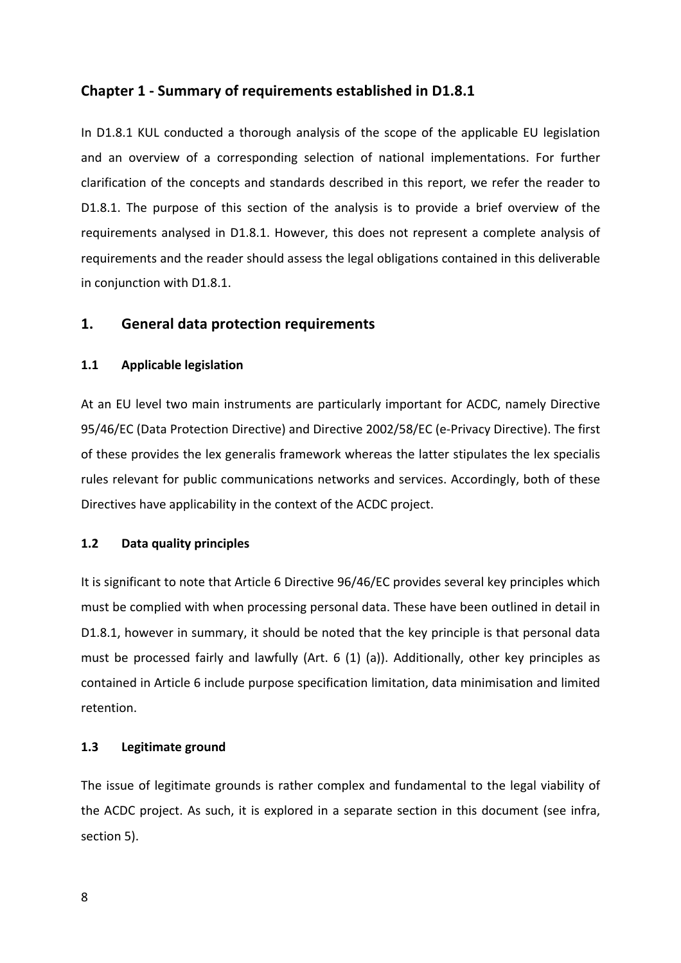# **Chapter 1 - Summary of requirements established in D1.8.1**

In D1.8.1 KUL conducted a thorough analysis of the scope of the applicable EU legislation and an overview of a corresponding selection of national implementations. For further clarification of the concepts and standards described in this report, we refer the reader to D1.8.1. The purpose of this section of the analysis is to provide a brief overview of the requirements analysed in D1.8.1. However, this does not represent a complete analysis of requirements and the reader should assess the legal obligations contained in this deliverable in conjunction with D1.8.1.

# 1. General data protection requirements

### **1.1 Applicable legislation**

At an EU level two main instruments are particularly important for ACDC, namely Directive 95/46/EC (Data Protection Directive) and Directive 2002/58/EC (e-Privacy Directive). The first of these provides the lex generalis framework whereas the latter stipulates the lex specialis rules relevant for public communications networks and services. Accordingly, both of these Directives have applicability in the context of the ACDC project.

### **1.2 Data quality principles**

It is significant to note that Article 6 Directive 96/46/EC provides several key principles which must be complied with when processing personal data. These have been outlined in detail in D1.8.1, however in summary, it should be noted that the key principle is that personal data must be processed fairly and lawfully (Art.  $6$  (1) (a)). Additionally, other key principles as contained in Article 6 include purpose specification limitation, data minimisation and limited retention. 

### **1.3 Legitimate ground**

The issue of legitimate grounds is rather complex and fundamental to the legal viability of the ACDC project. As such, it is explored in a separate section in this document (see infra, section 5).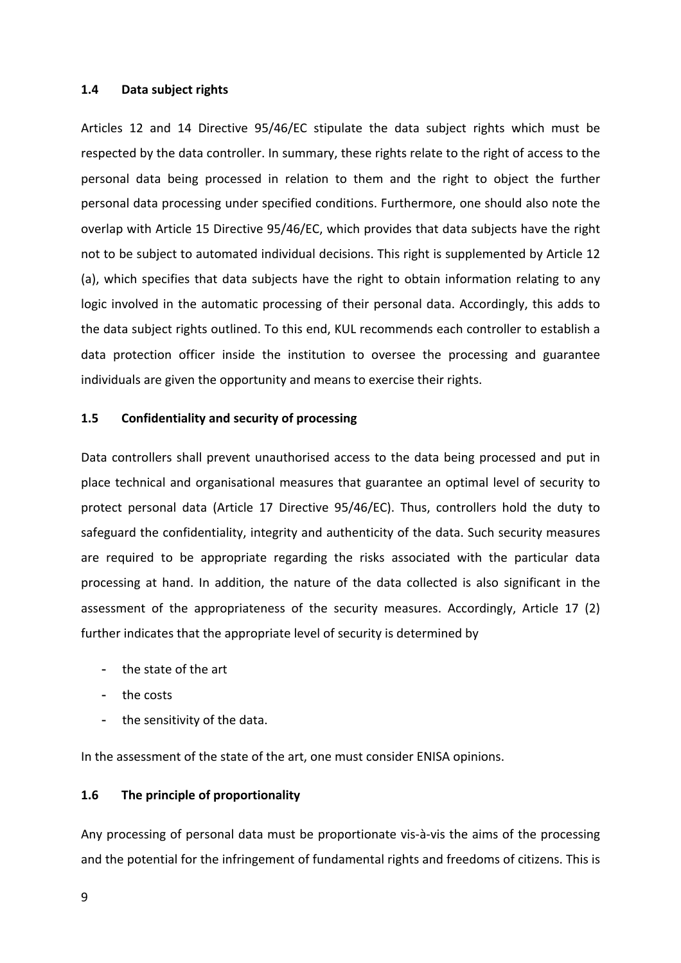#### 1.4 **Data subject rights**

Articles 12 and 14 Directive  $95/46/EC$  stipulate the data subject rights which must be respected by the data controller. In summary, these rights relate to the right of access to the personal data being processed in relation to them and the right to object the further personal data processing under specified conditions. Furthermore, one should also note the overlap with Article 15 Directive 95/46/EC, which provides that data subjects have the right not to be subject to automated individual decisions. This right is supplemented by Article 12 (a), which specifies that data subjects have the right to obtain information relating to any logic involved in the automatic processing of their personal data. Accordingly, this adds to the data subject rights outlined. To this end, KUL recommends each controller to establish a data protection officer inside the institution to oversee the processing and guarantee individuals are given the opportunity and means to exercise their rights.

#### **1.5** Confidentiality and security of processing

Data controllers shall prevent unauthorised access to the data being processed and put in place technical and organisational measures that guarantee an optimal level of security to protect personal data (Article 17 Directive 95/46/EC). Thus, controllers hold the duty to safeguard the confidentiality, integrity and authenticity of the data. Such security measures are required to be appropriate regarding the risks associated with the particular data processing at hand. In addition, the nature of the data collected is also significant in the assessment of the appropriateness of the security measures. Accordingly, Article 17 (2) further indicates that the appropriate level of security is determined by

- the state of the art
- the costs
- the sensitivity of the data.

In the assessment of the state of the art, one must consider ENISA opinions.

#### **1.6** The principle of proportionality

Any processing of personal data must be proportionate vis-à-vis the aims of the processing and the potential for the infringement of fundamental rights and freedoms of citizens. This is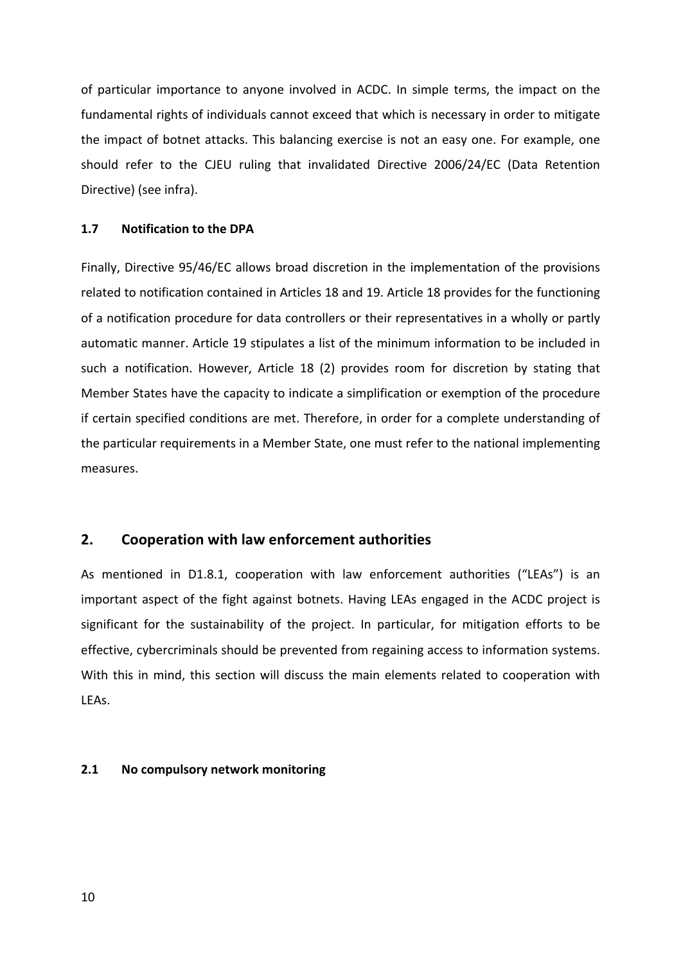of particular importance to anyone involved in ACDC. In simple terms, the impact on the fundamental rights of individuals cannot exceed that which is necessary in order to mitigate the impact of botnet attacks. This balancing exercise is not an easy one. For example, one should refer to the CJEU ruling that invalidated Directive 2006/24/EC (Data Retention Directive) (see infra).

### **1.7 Notification to the DPA**

Finally, Directive 95/46/EC allows broad discretion in the implementation of the provisions related to notification contained in Articles 18 and 19. Article 18 provides for the functioning of a notification procedure for data controllers or their representatives in a wholly or partly automatic manner. Article 19 stipulates a list of the minimum information to be included in such a notification. However, Article 18 (2) provides room for discretion by stating that Member States have the capacity to indicate a simplification or exemption of the procedure if certain specified conditions are met. Therefore, in order for a complete understanding of the particular requirements in a Member State, one must refer to the national implementing measures. 

### **2.** Cooperation with law enforcement authorities

As mentioned in D1.8.1, cooperation with law enforcement authorities ("LEAs") is an important aspect of the fight against botnets. Having LEAs engaged in the ACDC project is significant for the sustainability of the project. In particular, for mitigation efforts to be effective, cybercriminals should be prevented from regaining access to information systems. With this in mind, this section will discuss the main elements related to cooperation with LEAs.

#### **2.1 No compulsory network monitoring**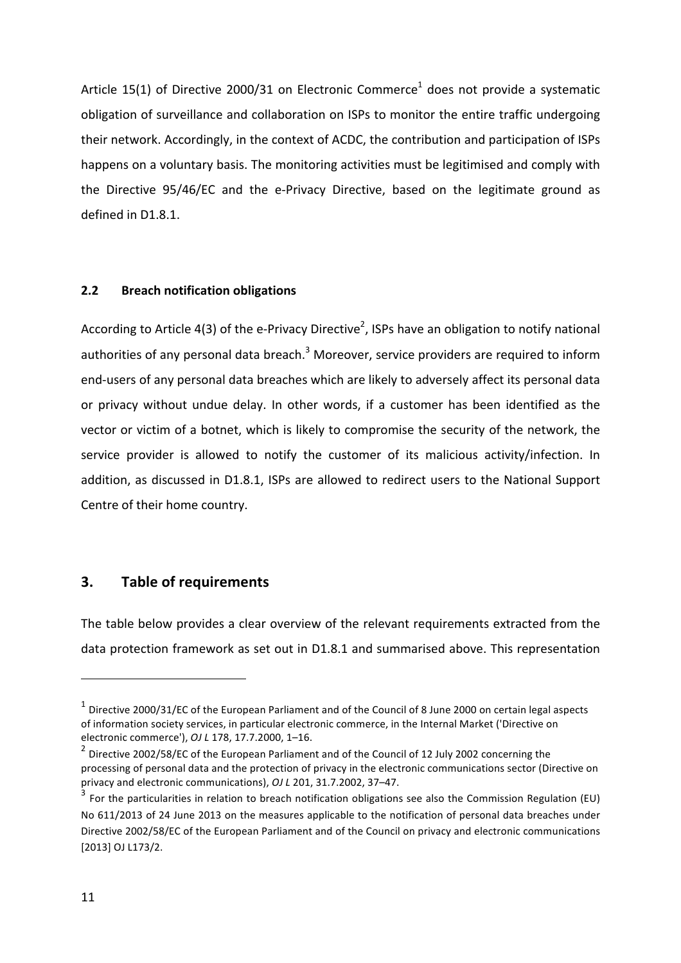Article 15(1) of Directive 2000/31 on Electronic Commerce<sup>1</sup> does not provide a systematic obligation of surveillance and collaboration on ISPs to monitor the entire traffic undergoing their network. Accordingly, in the context of ACDC, the contribution and participation of ISPs happens on a voluntary basis. The monitoring activities must be legitimised and comply with the Directive 95/46/EC and the e-Privacy Directive, based on the legitimate ground as defined in D1.8.1.

#### **2.2 Breach notification obligations**

According to Article 4(3) of the e-Privacy Directive<sup>2</sup>, ISPs have an obligation to notify national authorities of any personal data breach.<sup>3</sup> Moreover, service providers are required to inform end-users of any personal data breaches which are likely to adversely affect its personal data or privacy without undue delay. In other words, if a customer has been identified as the vector or victim of a botnet, which is likely to compromise the security of the network, the service provider is allowed to notify the customer of its malicious activity/infection. In addition, as discussed in D1.8.1, ISPs are allowed to redirect users to the National Support Centre of their home country.

# **3. Table of requirements**

 

The table below provides a clear overview of the relevant requirements extracted from the data protection framework as set out in D1.8.1 and summarised above. This representation

<sup>&</sup>lt;sup>1</sup> Directive 2000/31/EC of the European Parliament and of the Council of 8 June 2000 on certain legal aspects of information society services, in particular electronic commerce, in the Internal Market ('Directive on electronic commerce'), *OJ L* 178, 17, 7, 2000, 1-16.

<sup>&</sup>lt;sup>2</sup> Directive 2002/58/EC of the European Parliament and of the Council of 12 July 2002 concerning the processing of personal data and the protection of privacy in the electronic communications sector (Directive on privacy and electronic communications), *OJ L* 201, 31.7.2002, 37–47.

For the particularities in relation to breach notification obligations see also the Commission Regulation (EU) No 611/2013 of 24 June 2013 on the measures applicable to the notification of personal data breaches under Directive 2002/58/EC of the European Parliament and of the Council on privacy and electronic communications [2013] OJ L173/2.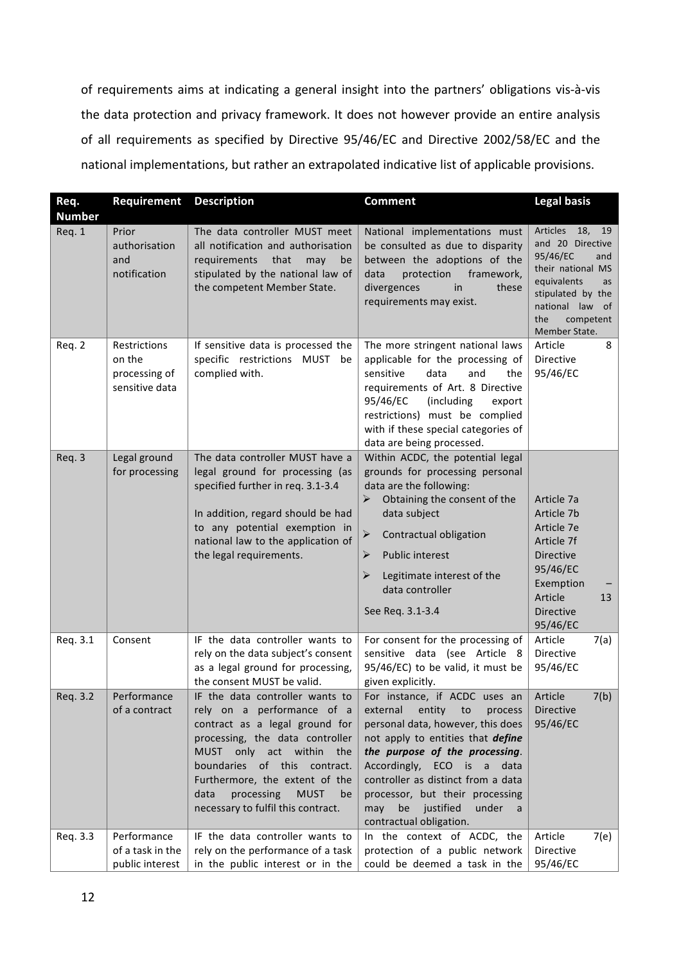of requirements aims at indicating a general insight into the partners' obligations vis-à-vis the data protection and privacy framework. It does not however provide an entire analysis of all requirements as specified by Directive 95/46/EC and Directive 2002/58/EC and the national implementations, but rather an extrapolated indicative list of applicable provisions.

| Req.<br><b>Number</b> | Requirement                                               | <b>Description</b>                                                                                                                                                                                                                                                                                                | <b>Comment</b>                                                                                                                                                                                                                                                                                                                                                        | <b>Legal basis</b>                                                                                                                                                                            |
|-----------------------|-----------------------------------------------------------|-------------------------------------------------------------------------------------------------------------------------------------------------------------------------------------------------------------------------------------------------------------------------------------------------------------------|-----------------------------------------------------------------------------------------------------------------------------------------------------------------------------------------------------------------------------------------------------------------------------------------------------------------------------------------------------------------------|-----------------------------------------------------------------------------------------------------------------------------------------------------------------------------------------------|
| Req. 1                | Prior<br>authorisation<br>and<br>notification             | The data controller MUST meet<br>all notification and authorisation<br>requirements<br>that<br>may<br>be<br>stipulated by the national law of<br>the competent Member State.                                                                                                                                      | National implementations must<br>be consulted as due to disparity<br>between the adoptions of the<br>protection<br>framework,<br>data<br>divergences<br>in<br>these<br>requirements may exist.                                                                                                                                                                        | <b>Articles</b><br>18,<br>19<br>and 20 Directive<br>95/46/EC<br>and<br>their national MS<br>equivalents<br>as<br>stipulated by the<br>national law<br>of<br>the<br>competent<br>Member State. |
| Req. 2                | Restrictions<br>on the<br>processing of<br>sensitive data | If sensitive data is processed the<br>specific restrictions MUST be<br>complied with.                                                                                                                                                                                                                             | The more stringent national laws<br>applicable for the processing of<br>sensitive<br>data<br>and<br>the<br>requirements of Art. 8 Directive<br>95/46/EC<br>(including<br>export<br>restrictions) must be complied<br>with if these special categories of<br>data are being processed.                                                                                 | Article<br>8<br><b>Directive</b><br>95/46/EC                                                                                                                                                  |
| Req. 3                | Legal ground<br>for processing                            | The data controller MUST have a<br>legal ground for processing (as<br>specified further in req. 3.1-3.4<br>In addition, regard should be had<br>to any potential exemption in<br>national law to the application of<br>the legal requirements.                                                                    | Within ACDC, the potential legal<br>grounds for processing personal<br>data are the following:<br>➤<br>Obtaining the consent of the<br>data subject<br>$\blacktriangleright$<br>Contractual obligation<br>Public interest<br>➤<br>➤<br>Legitimate interest of the<br>data controller<br>See Req. 3.1-3.4                                                              | Article 7a<br>Article 7b<br>Article 7e<br>Article 7f<br><b>Directive</b><br>95/46/EC<br>Exemption<br>Article<br>13<br><b>Directive</b><br>95/46/EC                                            |
| Req. 3.1              | Consent                                                   | IF the data controller wants to<br>rely on the data subject's consent<br>as a legal ground for processing,<br>the consent MUST be valid.                                                                                                                                                                          | For consent for the processing of<br>sensitive data (see Article 8<br>95/46/EC) to be valid, it must be<br>given explicitly.                                                                                                                                                                                                                                          | Article<br>7(a)<br><b>Directive</b><br>95/46/EC                                                                                                                                               |
| Req. 3.2              | Performance<br>of a contract                              | IF the data controller wants to<br>rely on a performance of a<br>contract as a legal ground for<br>processing, the data controller<br>MUST only act within the<br>boundaries of this contract.<br>Furthermore, the extent of the<br>processing<br>data<br><b>MUST</b><br>be<br>necessary to fulfil this contract. | For instance, if ACDC uses an<br>external<br>entity<br>$\mathsf{to}$<br>process<br>personal data, however, this does<br>not apply to entities that define<br>the purpose of the processing.<br>Accordingly, ECO is a data<br>controller as distinct from a data<br>processor, but their processing<br>may<br>justified<br>be<br>under<br>a<br>contractual obligation. | Article<br>7(b)<br>Directive<br>95/46/EC                                                                                                                                                      |
| Req. 3.3              | Performance<br>of a task in the<br>public interest        | IF the data controller wants to<br>rely on the performance of a task<br>in the public interest or in the                                                                                                                                                                                                          | In the context of ACDC, the<br>protection of a public network<br>could be deemed a task in the                                                                                                                                                                                                                                                                        | 7(e)<br>Article<br>Directive<br>95/46/EC                                                                                                                                                      |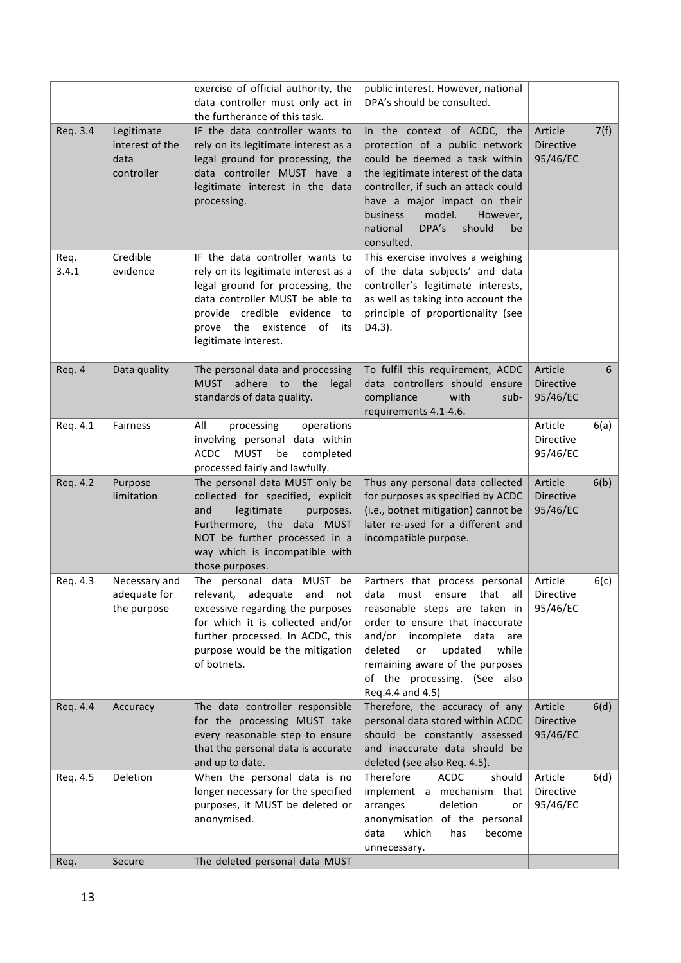|               |                                                     | exercise of official authority, the<br>data controller must only act in<br>the furtherance of this task.                                                                                                                                      | public interest. However, national<br>DPA's should be consulted.                                                                                                                                                                                                                                               |                                         |      |
|---------------|-----------------------------------------------------|-----------------------------------------------------------------------------------------------------------------------------------------------------------------------------------------------------------------------------------------------|----------------------------------------------------------------------------------------------------------------------------------------------------------------------------------------------------------------------------------------------------------------------------------------------------------------|-----------------------------------------|------|
| Req. 3.4      | Legitimate<br>interest of the<br>data<br>controller | IF the data controller wants to<br>rely on its legitimate interest as a<br>legal ground for processing, the<br>data controller MUST have a<br>legitimate interest in the data<br>processing.                                                  | In the context of ACDC, the<br>protection of a public network<br>could be deemed a task within<br>the legitimate interest of the data<br>controller, if such an attack could<br>have a major impact on their<br>model.<br>business<br>However,<br>DPA's<br>should<br>national<br>be<br>consulted.              | Article<br><b>Directive</b><br>95/46/EC | 7(f) |
| Req.<br>3.4.1 | Credible<br>evidence                                | IF the data controller wants to<br>rely on its legitimate interest as a<br>legal ground for processing, the<br>data controller MUST be able to<br>provide credible evidence<br>to<br>prove the existence<br>of<br>its<br>legitimate interest. | This exercise involves a weighing<br>of the data subjects' and data<br>controller's legitimate interests,<br>as well as taking into account the<br>principle of proportionality (see<br>D4.3).                                                                                                                 |                                         |      |
| Req. 4        | Data quality                                        | The personal data and processing<br><b>MUST</b><br>adhere to the<br>legal<br>standards of data quality.                                                                                                                                       | To fulfil this requirement, ACDC<br>data controllers should ensure<br>compliance<br>with<br>sub-<br>requirements 4.1-4.6.                                                                                                                                                                                      | Article<br>Directive<br>95/46/EC        | 6    |
| Req. 4.1      | Fairness                                            | All<br>processing<br>operations<br>involving personal data within<br><b>ACDC</b><br><b>MUST</b><br>be<br>completed<br>processed fairly and lawfully.                                                                                          |                                                                                                                                                                                                                                                                                                                | Article<br><b>Directive</b><br>95/46/EC | 6(a) |
| Req. 4.2      | Purpose<br>limitation                               | The personal data MUST only be<br>collected for specified, explicit<br>and<br>legitimate<br>purposes.<br>Furthermore, the data MUST<br>NOT be further processed in a<br>way which is incompatible with<br>those purposes.                     | Thus any personal data collected<br>for purposes as specified by ACDC<br>(i.e., botnet mitigation) cannot be<br>later re-used for a different and<br>incompatible purpose.                                                                                                                                     | Article<br>Directive<br>95/46/EC        | 6(b) |
| Req. 4.3      | Necessary and<br>adequate for<br>the purpose        | The personal data MUST<br>be<br>relevant, adequate and<br>not<br>excessive regarding the purposes<br>for which it is collected and/or<br>further processed. In ACDC, this<br>purpose would be the mitigation<br>of botnets.                   | Partners that process personal<br>all<br>that<br>data<br>must<br>ensure<br>reasonable steps are taken in<br>order to ensure that inaccurate<br>and/or<br>incomplete<br>data<br>are<br>deleted<br>updated<br>while<br>or<br>remaining aware of the purposes<br>of the processing. (See also<br>Req.4.4 and 4.5) | Article<br>Directive<br>95/46/EC        | 6(c) |
| Reg. 4.4      | Accuracy                                            | The data controller responsible<br>for the processing MUST take<br>every reasonable step to ensure<br>that the personal data is accurate<br>and up to date.                                                                                   | Therefore, the accuracy of any<br>personal data stored within ACDC<br>should be constantly assessed<br>and inaccurate data should be<br>deleted (see also Req. 4.5).                                                                                                                                           | Article<br>Directive<br>95/46/EC        | 6(d) |
| Req. 4.5      | Deletion                                            | When the personal data is no<br>longer necessary for the specified<br>purposes, it MUST be deleted or<br>anonymised.                                                                                                                          | Therefore<br><b>ACDC</b><br>should<br>implement a mechanism that<br>deletion<br>arranges<br>or<br>anonymisation of the personal<br>which<br>data<br>has<br>become<br>unnecessary.                                                                                                                              | Article<br>Directive<br>95/46/EC        | 6(d) |
| Req.          | Secure                                              | The deleted personal data MUST                                                                                                                                                                                                                |                                                                                                                                                                                                                                                                                                                |                                         |      |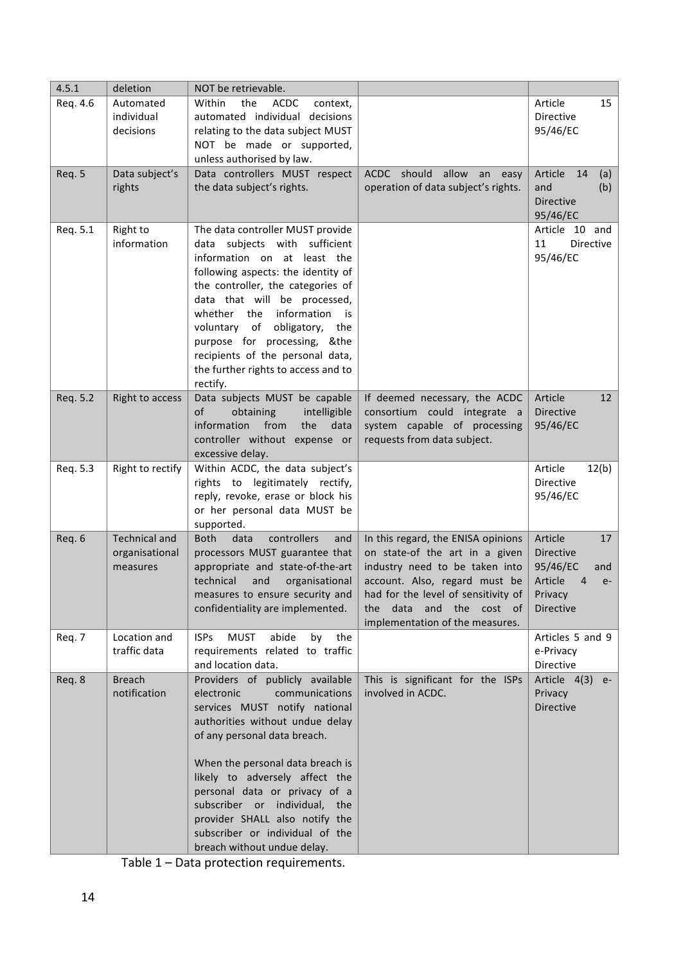| 4.5.1    | deletion                                           | NOT be retrievable.                                                                                                                                                                                                                                                                                                                                                                                             |                                                                                                                                                                                                                                                     |                                                                                                                   |
|----------|----------------------------------------------------|-----------------------------------------------------------------------------------------------------------------------------------------------------------------------------------------------------------------------------------------------------------------------------------------------------------------------------------------------------------------------------------------------------------------|-----------------------------------------------------------------------------------------------------------------------------------------------------------------------------------------------------------------------------------------------------|-------------------------------------------------------------------------------------------------------------------|
| Req. 4.6 | Automated<br>individual<br>decisions               | Within<br>the<br><b>ACDC</b><br>context,<br>automated individual decisions<br>relating to the data subject MUST<br>NOT be made or supported,<br>unless authorised by law.                                                                                                                                                                                                                                       |                                                                                                                                                                                                                                                     | Article<br>15<br>Directive<br>95/46/EC                                                                            |
| Req. 5   | Data subject's<br>rights                           | Data controllers MUST respect<br>the data subject's rights.                                                                                                                                                                                                                                                                                                                                                     | ACDC should allow an easy<br>operation of data subject's rights.                                                                                                                                                                                    | Article 14<br>(a)<br>and<br>(b)<br><b>Directive</b><br>95/46/EC                                                   |
| Req. 5.1 | Right to<br>information                            | The data controller MUST provide<br>data subjects with sufficient<br>information on at least the<br>following aspects: the identity of<br>the controller, the categories of<br>data that will be processed,<br>whether the information is<br>voluntary of obligatory, the<br>purpose for processing, &the<br>recipients of the personal data,<br>the further rights to access and to<br>rectify.                |                                                                                                                                                                                                                                                     | Article 10 and<br>11<br>Directive<br>95/46/EC                                                                     |
| Req. 5.2 | Right to access                                    | Data subjects MUST be capable<br>of<br>obtaining<br>intelligible<br>information<br>from<br>the<br>data<br>controller without expense or<br>excessive delay.                                                                                                                                                                                                                                                     | If deemed necessary, the ACDC<br>consortium could integrate a<br>system capable of processing<br>requests from data subject.                                                                                                                        | Article<br>12<br>Directive<br>95/46/EC                                                                            |
| Req. 5.3 | Right to rectify                                   | Within ACDC, the data subject's<br>rights to legitimately rectify,<br>reply, revoke, erase or block his<br>or her personal data MUST be<br>supported.                                                                                                                                                                                                                                                           |                                                                                                                                                                                                                                                     | Article<br>12(b)<br>Directive<br>95/46/EC                                                                         |
| Req. 6   | <b>Technical and</b><br>organisational<br>measures | controllers<br><b>Both</b><br>data<br>and<br>processors MUST guarantee that<br>appropriate and state-of-the-art<br>technical<br>and organisational<br>measures to ensure security and<br>confidentiality are implemented.                                                                                                                                                                                       | In this regard, the ENISA opinions<br>on state-of the art in a given<br>industry need to be taken into<br>account. Also, regard must be<br>had for the level of sensitivity of<br>the data<br>and the<br>cost of<br>implementation of the measures. | Article<br>17<br><b>Directive</b><br>95/46/EC<br>and<br>Article<br>$\overline{4}$<br>$e-$<br>Privacy<br>Directive |
| Req. 7   | Location and<br>traffic data                       | <b>ISPs</b><br><b>MUST</b><br>abide<br>the<br>bv<br>requirements related to traffic<br>and location data.                                                                                                                                                                                                                                                                                                       |                                                                                                                                                                                                                                                     | Articles 5 and 9<br>e-Privacy<br>Directive                                                                        |
| Req. 8   | <b>Breach</b><br>notification                      | Providers of publicly available<br>electronic<br>communications<br>services MUST notify national<br>authorities without undue delay<br>of any personal data breach.<br>When the personal data breach is<br>likely to adversely affect the<br>personal data or privacy of a<br>subscriber or individual, the<br>provider SHALL also notify the<br>subscriber or individual of the<br>breach without undue delay. | This is significant for the ISPs<br>involved in ACDC.                                                                                                                                                                                               | Article 4(3)<br>$e-$<br>Privacy<br><b>Directive</b>                                                               |

Table 1 - Data protection requirements.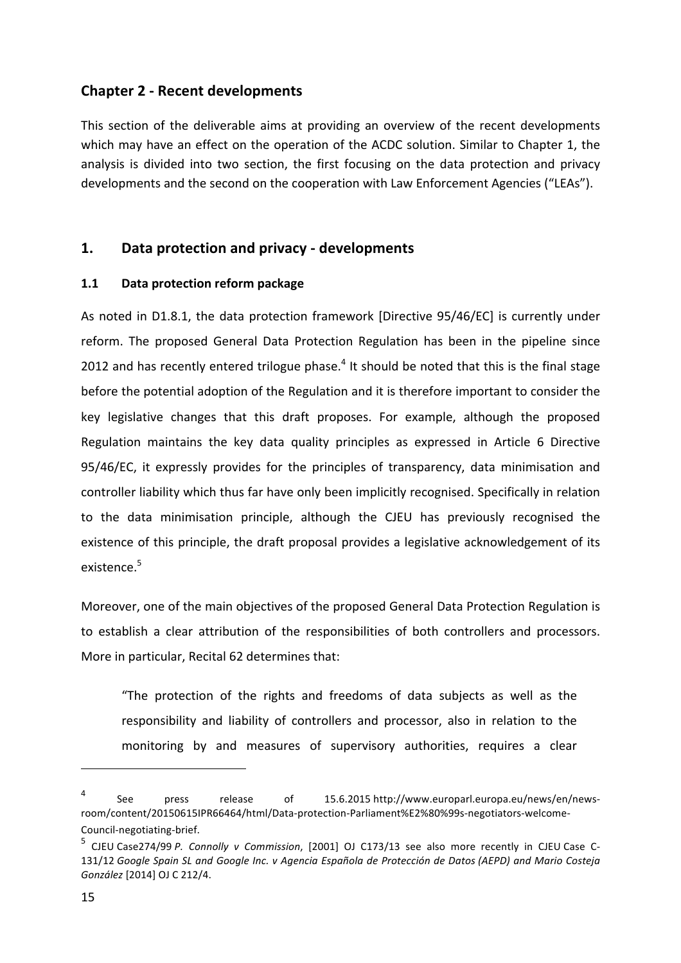# **Chapter 2 - Recent developments**

This section of the deliverable aims at providing an overview of the recent developments which may have an effect on the operation of the ACDC solution. Similar to Chapter 1, the analysis is divided into two section, the first focusing on the data protection and privacy developments and the second on the cooperation with Law Enforcement Agencies ("LEAs").

# **1. Data protection and privacy - developments**

## **1.1 Data protection reform package**

As noted in D1.8.1, the data protection framework [Directive 95/46/EC] is currently under reform. The proposed General Data Protection Regulation has been in the pipeline since 2012 and has recently entered trilogue phase.<sup>4</sup> It should be noted that this is the final stage before the potential adoption of the Regulation and it is therefore important to consider the key legislative changes that this draft proposes. For example, although the proposed Regulation maintains the key data quality principles as expressed in Article 6 Directive 95/46/EC, it expressly provides for the principles of transparency, data minimisation and controller liability which thus far have only been implicitly recognised. Specifically in relation to the data minimisation principle, although the CJEU has previously recognised the existence of this principle, the draft proposal provides a legislative acknowledgement of its existence.<sup>5</sup>

Moreover, one of the main objectives of the proposed General Data Protection Regulation is to establish a clear attribution of the responsibilities of both controllers and processors. More in particular, Recital 62 determines that:

"The protection of the rights and freedoms of data subjects as well as the responsibility and liability of controllers and processor, also in relation to the monitoring by and measures of supervisory authorities, requires a clear

<sup>4</sup> See press release of 15.6.2015 http://www.europarl.europa.eu/news/en/newsroom/content/20150615IPR66464/html/Data-protection-Parliament%E2%80%99s-negotiators-welcome-Council-negotiating-brief.

<sup>&</sup>lt;sup>5</sup> CJEU Case274/99 P. Connolly v Commission, [2001] OJ C173/13 see also more recently in CJEU Case C-131/12 *Google Spain SL and Google Inc. v Agencia Española de Protección de Datos (AEPD) and Mario Costeja González* [2014] OJ C 212/4.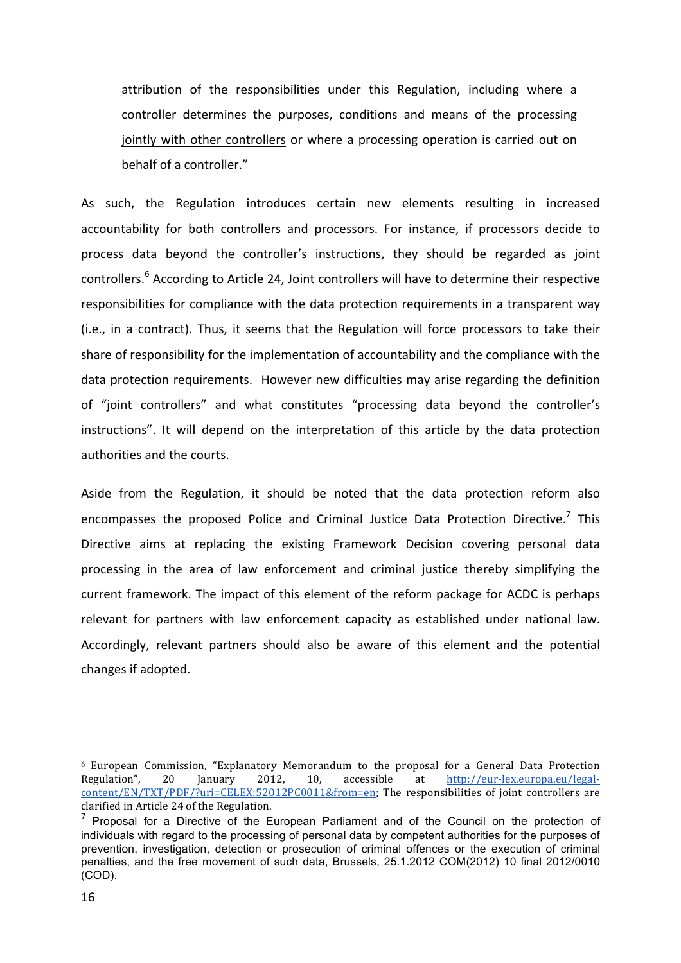attribution of the responsibilities under this Regulation, including where a controller determines the purposes, conditions and means of the processing jointly with other controllers or where a processing operation is carried out on behalf of a controller."

As such, the Regulation introduces certain new elements resulting in increased accountability for both controllers and processors. For instance, if processors decide to process data beyond the controller's instructions, they should be regarded as joint controllers.<sup>6</sup> According to Article 24, Joint controllers will have to determine their respective responsibilities for compliance with the data protection requirements in a transparent way (i.e., in a contract). Thus, it seems that the Regulation will force processors to take their share of responsibility for the implementation of accountability and the compliance with the data protection requirements. However new difficulties may arise regarding the definition of "joint controllers" and what constitutes "processing data beyond the controller's instructions". It will depend on the interpretation of this article by the data protection authorities and the courts.

Aside from the Regulation, it should be noted that the data protection reform also encompasses the proposed Police and Criminal Justice Data Protection Directive.<sup>7</sup> This Directive aims at replacing the existing Framework Decision covering personal data processing in the area of law enforcement and criminal justice thereby simplifying the current framework. The impact of this element of the reform package for ACDC is perhaps relevant for partners with law enforcement capacity as established under national law. Accordingly, relevant partners should also be aware of this element and the potential changes if adopted.

 $6$  European Commission, "Explanatory Memorandum to the proposal for a General Data Protection Regulation", 20 January 2012, 10, accessible at http://eur-lex.europa.eu/legal- $\overline{\text{content}}/\text{EN}/\text{TXT}/\text{PDF}/\text{?}$ uri=CELEX:52012PC0011&from=en; The responsibilities of joint controllers are clarified in Article 24 of the Regulation.

 $<sup>7</sup>$  Proposal for a Directive of the European Parliament and of the Council on the protection of</sup> individuals with regard to the processing of personal data by competent authorities for the purposes of prevention, investigation, detection or prosecution of criminal offences or the execution of criminal penalties, and the free movement of such data, Brussels, 25.1.2012 COM(2012) 10 final 2012/0010 (COD).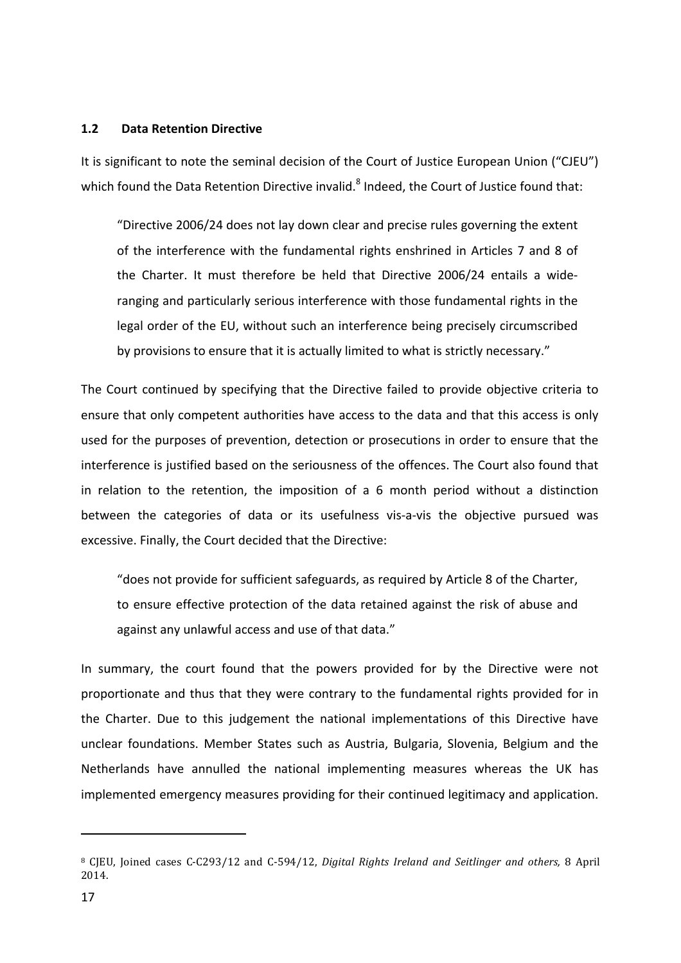#### **1.2 Data Retention Directive**

It is significant to note the seminal decision of the Court of Justice European Union ("CJEU") which found the Data Retention Directive invalid.<sup>8</sup> Indeed, the Court of Justice found that:

"Directive 2006/24 does not lay down clear and precise rules governing the extent of the interference with the fundamental rights enshrined in Articles 7 and 8 of the Charter. It must therefore be held that Directive 2006/24 entails a wideranging and particularly serious interference with those fundamental rights in the legal order of the EU, without such an interference being precisely circumscribed by provisions to ensure that it is actually limited to what is strictly necessary."

The Court continued by specifying that the Directive failed to provide objective criteria to ensure that only competent authorities have access to the data and that this access is only used for the purposes of prevention, detection or prosecutions in order to ensure that the interference is justified based on the seriousness of the offences. The Court also found that in relation to the retention, the imposition of a 6 month period without a distinction between the categories of data or its usefulness vis-a-vis the objective pursued was excessive. Finally, the Court decided that the Directive:

" does not provide for sufficient safeguards, as required by Article 8 of the Charter, to ensure effective protection of the data retained against the risk of abuse and against any unlawful access and use of that data."

In summary, the court found that the powers provided for by the Directive were not proportionate and thus that they were contrary to the fundamental rights provided for in the Charter. Due to this judgement the national implementations of this Directive have unclear foundations. Member States such as Austria, Bulgaria, Slovenia, Belgium and the Netherlands have annulled the national implementing measures whereas the UK has implemented emergency measures providing for their continued legitimacy and application.

<sup>&</sup>lt;sup>8</sup> CJEU, Joined cases C-C293/12 and C-594/12, *Digital Rights Ireland and Seitlinger and others*, 8 April 2014.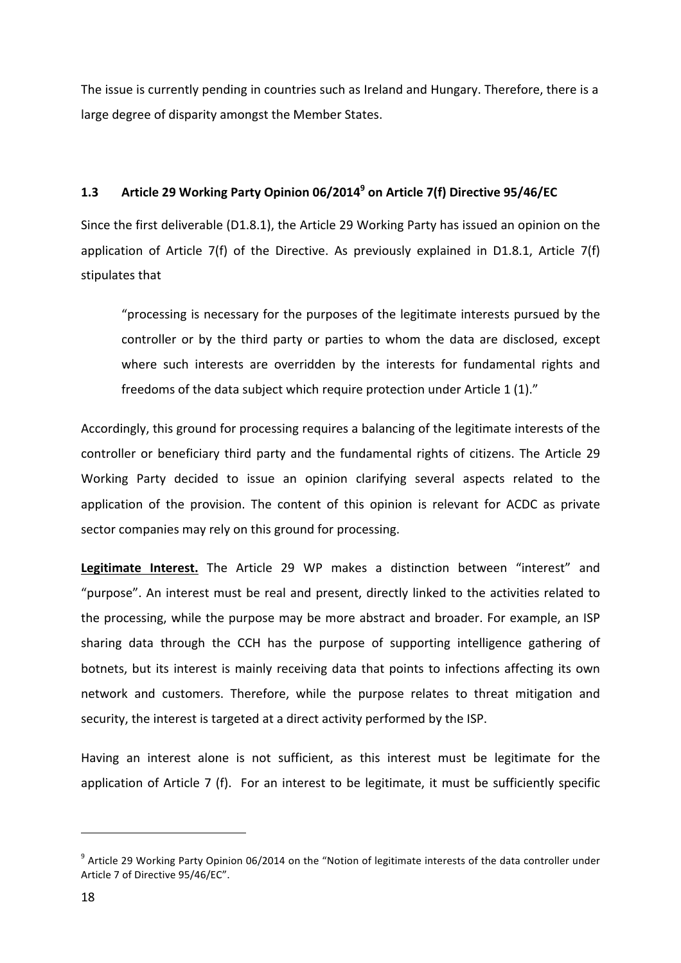The issue is currently pending in countries such as Ireland and Hungary. Therefore, there is a large degree of disparity amongst the Member States.

# **1.3 Article 29 Working Party Opinion 06/2014<sup>9</sup> on Article 7(f) Directive 95/46/EC**

Since the first deliverable (D1.8.1), the Article 29 Working Party has issued an opinion on the application of Article  $7(f)$  of the Directive. As previously explained in D1.8.1, Article  $7(f)$ stipulates that

"processing is necessary for the purposes of the legitimate interests pursued by the controller or by the third party or parties to whom the data are disclosed, except where such interests are overridden by the interests for fundamental rights and freedoms of the data subject which require protection under Article 1 (1)."

Accordingly, this ground for processing requires a balancing of the legitimate interests of the controller or beneficiary third party and the fundamental rights of citizens. The Article 29 Working Party decided to issue an opinion clarifying several aspects related to the application of the provision. The content of this opinion is relevant for ACDC as private sector companies may rely on this ground for processing.

Legitimate Interest. The Article 29 WP makes a distinction between "interest" and "purpose". An interest must be real and present, directly linked to the activities related to the processing, while the purpose may be more abstract and broader. For example, an ISP sharing data through the CCH has the purpose of supporting intelligence gathering of botnets, but its interest is mainly receiving data that points to infections affecting its own network and customers. Therefore, while the purpose relates to threat mitigation and security, the interest is targeted at a direct activity performed by the ISP.

Having an interest alone is not sufficient, as this interest must be legitimate for the application of Article  $7$  (f). For an interest to be legitimate, it must be sufficiently specific

 $9$  Article 29 Working Party Opinion 06/2014 on the "Notion of legitimate interests of the data controller under Article 7 of Directive 95/46/EC".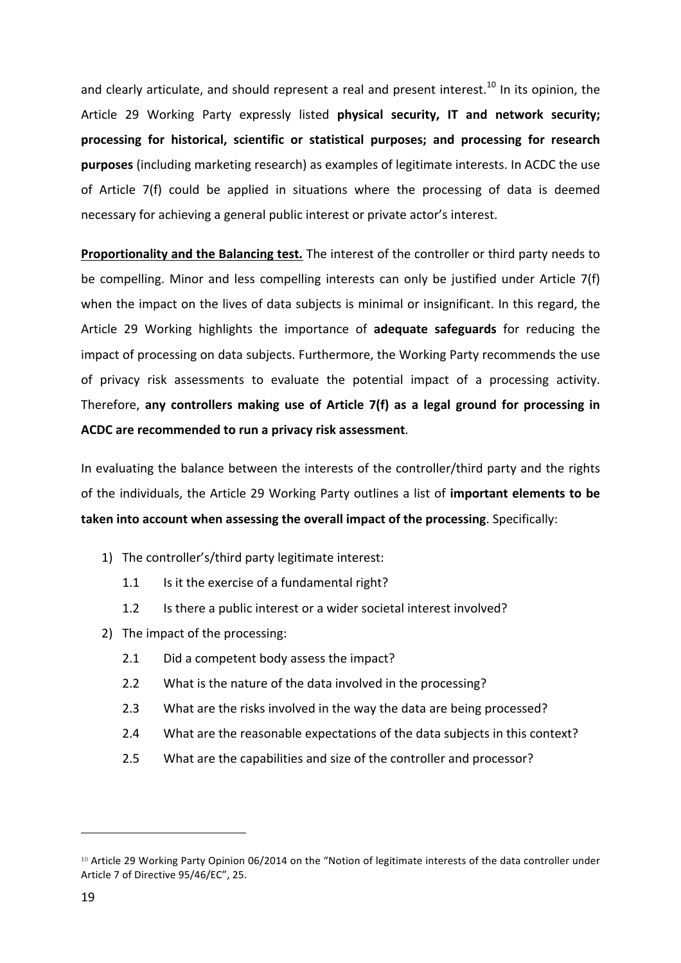and clearly articulate, and should represent a real and present interest.<sup>10</sup> In its opinion, the Article 29 Working Party expressly listed **physical security, IT and network security;** processing for historical, scientific or statistical purposes; and processing for research **purposes** (including marketing research) as examples of legitimate interests. In ACDC the use of Article  $7(f)$  could be applied in situations where the processing of data is deemed necessary for achieving a general public interest or private actor's interest.

**Proportionality and the Balancing test.** The interest of the controller or third party needs to be compelling. Minor and less compelling interests can only be justified under Article  $7(f)$ when the impact on the lives of data subjects is minimal or insignificant. In this regard, the Article 29 Working highlights the importance of adequate safeguards for reducing the impact of processing on data subjects. Furthermore, the Working Party recommends the use of privacy risk assessments to evaluate the potential impact of a processing activity. Therefore, any controllers making use of Article 7(f) as a legal ground for processing in ACDC are recommended to run a privacy risk assessment.

In evaluating the balance between the interests of the controller/third party and the rights of the individuals, the Article 29 Working Party outlines a list of *important elements to be* **taken into account when assessing the overall impact of the processing.** Specifically:

- 1) The controller's/third party legitimate interest:
	- 1.1 Is it the exercise of a fundamental right?
	- 1.2 Is there a public interest or a wider societal interest involved?
- 2) The impact of the processing:

- 2.1 Did a competent body assess the impact?
- 2.2 What is the nature of the data involved in the processing?
- 2.3 What are the risks involved in the way the data are being processed?
- 2.4 What are the reasonable expectations of the data subjects in this context?
- 2.5 What are the capabilities and size of the controller and processor?

<sup>&</sup>lt;sup>10</sup> Article 29 Working Party Opinion 06/2014 on the "Notion of legitimate interests of the data controller under Article 7 of Directive 95/46/EC", 25.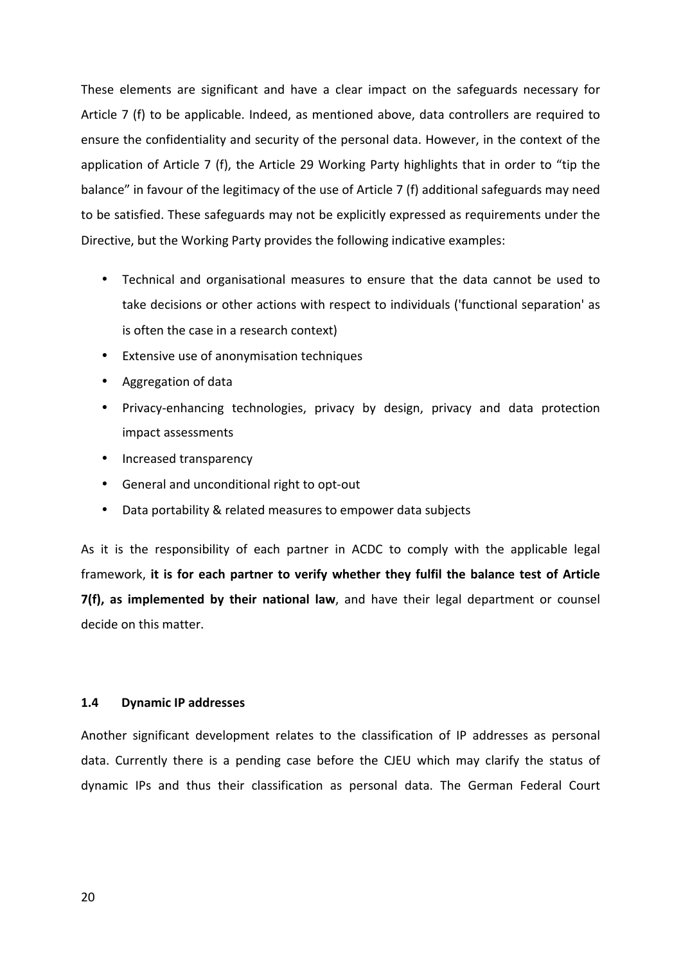These elements are significant and have a clear impact on the safeguards necessary for Article 7 (f) to be applicable. Indeed, as mentioned above, data controllers are required to ensure the confidentiality and security of the personal data. However, in the context of the application of Article 7 (f), the Article 29 Working Party highlights that in order to "tip the balance" in favour of the legitimacy of the use of Article 7 (f) additional safeguards may need to be satisfied. These safeguards may not be explicitly expressed as requirements under the Directive, but the Working Party provides the following indicative examples:

- Technical and organisational measures to ensure that the data cannot be used to take decisions or other actions with respect to individuals ('functional separation' as is often the case in a research context)
- Extensive use of anonymisation techniques
- Aggregation of data
- Privacy-enhancing technologies, privacy by design, privacy and data protection impact assessments
- Increased transparency
- General and unconditional right to opt-out
- Data portability & related measures to empower data subjects

As it is the responsibility of each partner in ACDC to comply with the applicable legal framework, it is for each partner to verify whether they fulfil the balance test of Article **7(f), as implemented by their national law**, and have their legal department or counsel decide on this matter.

#### **1.4 Dynamic IP addresses**

Another significant development relates to the classification of IP addresses as personal data. Currently there is a pending case before the CJEU which may clarify the status of dynamic IPs and thus their classification as personal data. The German Federal Court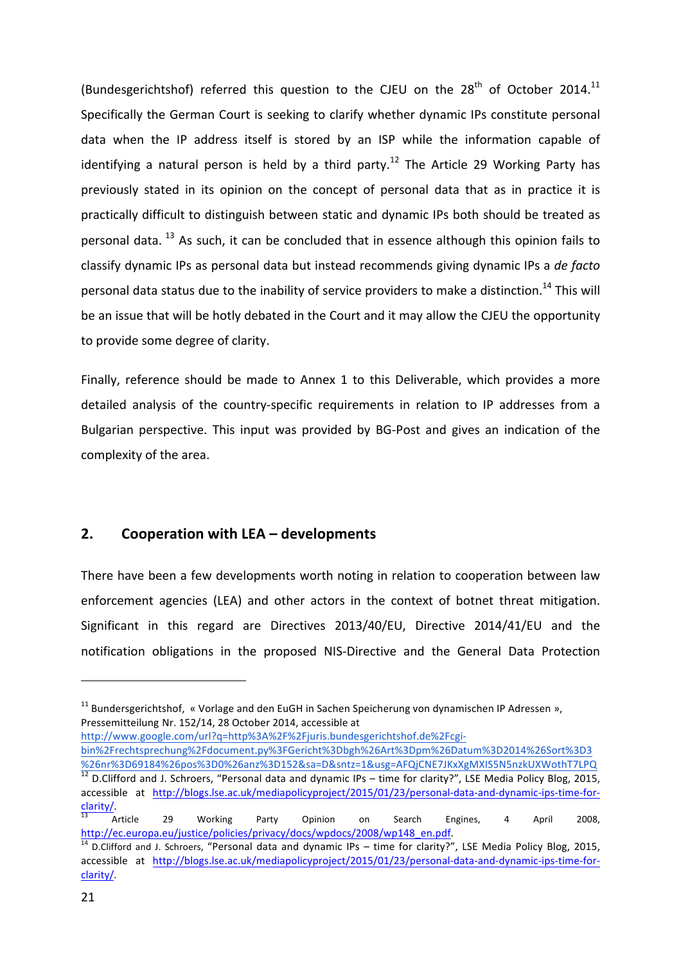(Bundesgerichtshof) referred this question to the CJEU on the  $28<sup>th</sup>$  of October 2014.<sup>11</sup> Specifically the German Court is seeking to clarify whether dynamic IPs constitute personal data when the IP address itself is stored by an ISP while the information capable of identifying a natural person is held by a third party.<sup>12</sup> The Article 29 Working Party has previously stated in its opinion on the concept of personal data that as in practice it is practically difficult to distinguish between static and dynamic IPs both should be treated as personal data.  $^{13}$  As such, it can be concluded that in essence although this opinion fails to classify dynamic IPs as personal data but instead recommends giving dynamic IPs a de facto personal data status due to the inability of service providers to make a distinction.<sup>14</sup> This will be an issue that will be hotly debated in the Court and it may allow the CJEU the opportunity to provide some degree of clarity.

Finally, reference should be made to Annex 1 to this Deliverable, which provides a more detailed analysis of the country-specific requirements in relation to IP addresses from a Bulgarian perspective. This input was provided by BG-Post and gives an indication of the complexity of the area.

# **2. Cooperation with LEA – developments**

 

There have been a few developments worth noting in relation to cooperation between law enforcement agencies (LEA) and other actors in the context of botnet threat mitigation. Significant in this regard are Directives 2013/40/EU, Directive 2014/41/EU and the notification obligations in the proposed NIS-Directive and the General Data Protection

http://www.google.com/url?q=http%3A%2F%2Fjuris.bundesgerichtshof.de%2Fcgi-

 $11$  Bundersgerichtshof, « Vorlage and den EuGH in Sachen Speicherung von dynamischen IP Adressen », Pressemitteilung Nr. 152/14, 28 October 2014, accessible at

bin%2Frechtsprechung%2Fdocument.py%3FGericht%3Dbgh%26Art%3Dpm%26Datum%3D2014%26Sort%3D3 %26nr%3D69184%26pos%3D0%26anz%3D152&sa=D&sntz=1&usg=AFQjCNE7JKxXgMXIS5N5nzkUXWothT7LPQ<br><sup>12</sup> D.Clifford and J. Schroers, "Personal data and dynamic IPs – time for clarity?", LSE Media Policy Blog, 2015, accessible at http://blogs.lse.ac.uk/mediapolicyproject/2015/01/23/personal-data-and-dynamic-ips-time-forclarity/.<br><sup>13</sup> Article 29 Working Party Opinion on Search Engines, 4 April 2008,

http://ec.europa.eu/justice/policies/privacy/docs/wpdocs/2008/wp148\_en.pdf. 

 $14$  D.Clifford and J. Schroers, "Personal data and dynamic IPs – time for clarity?", LSE Media Policy Blog, 2015, accessible at http://blogs.lse.ac.uk/mediapolicyproject/2015/01/23/personal-data-and-dynamic-ips-time-forclarity/.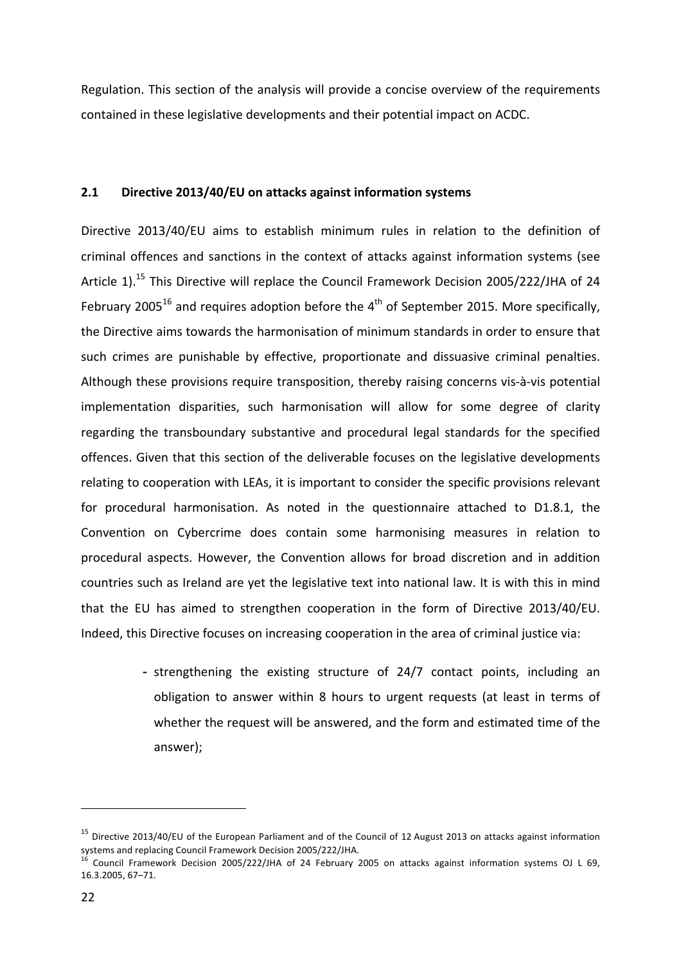Regulation. This section of the analysis will provide a concise overview of the requirements contained in these legislative developments and their potential impact on ACDC.

## 2.1 **Directive 2013/40/EU** on attacks against information systems

Directive 2013/40/EU aims to establish minimum rules in relation to the definition of criminal offences and sanctions in the context of attacks against information systems (see Article 1).<sup>15</sup> This Directive will replace the Council Framework Decision 2005/222/JHA of 24 February 2005<sup>16</sup> and requires adoption before the  $4<sup>th</sup>$  of September 2015. More specifically, the Directive aims towards the harmonisation of minimum standards in order to ensure that such crimes are punishable by effective, proportionate and dissuasive criminal penalties. Although these provisions require transposition, thereby raising concerns vis-à-vis potential implementation disparities, such harmonisation will allow for some degree of clarity regarding the transboundary substantive and procedural legal standards for the specified offences. Given that this section of the deliverable focuses on the legislative developments relating to cooperation with LEAs, it is important to consider the specific provisions relevant for procedural harmonisation. As noted in the questionnaire attached to D1.8.1, the Convention on Cybercrime does contain some harmonising measures in relation to procedural aspects. However, the Convention allows for broad discretion and in addition countries such as Ireland are yet the legislative text into national law. It is with this in mind that the EU has aimed to strengthen cooperation in the form of Directive 2013/40/EU. Indeed, this Directive focuses on increasing cooperation in the area of criminal justice via:

> - strengthening the existing structure of 24/7 contact points, including an obligation to answer within 8 hours to urgent requests (at least in terms of whether the request will be answered, and the form and estimated time of the answer);

 $15$  Directive 2013/40/EU of the European Parliament and of the Council of 12 August 2013 on attacks against information systems and replacing Council Framework Decision 2005/222/JHA.

Council Framework Decision 2005/222/JHA of 24 February 2005 on attacks against information systems OJ L 69, 16.3.2005, 67–71.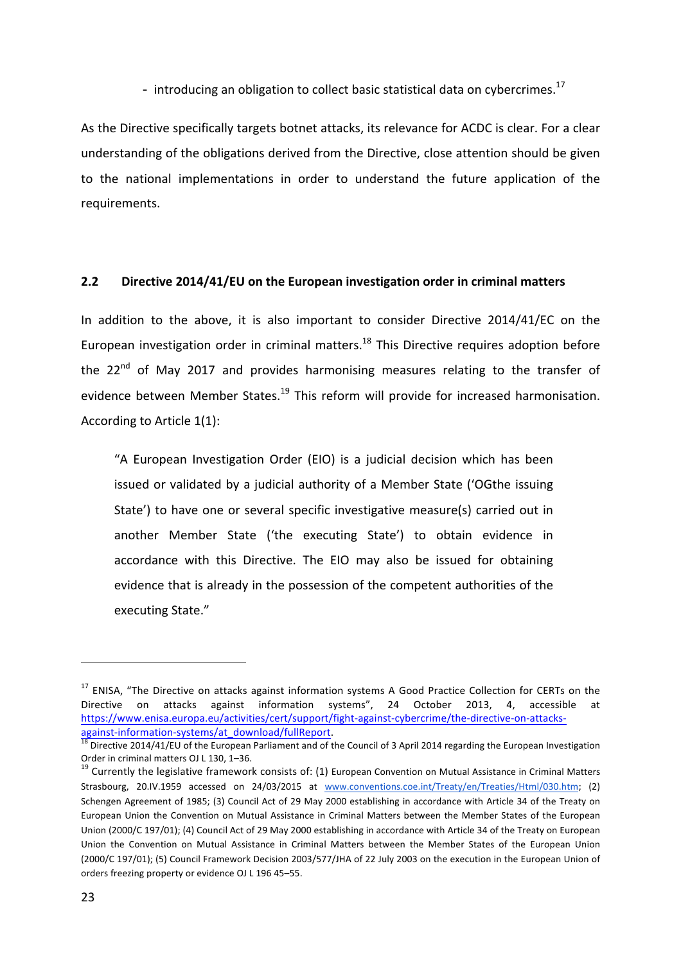- introducing an obligation to collect basic statistical data on cybercrimes.<sup>17</sup>

As the Directive specifically targets botnet attacks, its relevance for ACDC is clear. For a clear understanding of the obligations derived from the Directive, close attention should be given to the national implementations in order to understand the future application of the requirements.

## **2.2 Directive 2014/41/EU** on the European investigation order in criminal matters

In addition to the above, it is also important to consider Directive 2014/41/EC on the European investigation order in criminal matters.<sup>18</sup> This Directive requires adoption before the 22<sup>nd</sup> of May 2017 and provides harmonising measures relating to the transfer of evidence between Member States.<sup>19</sup> This reform will provide for increased harmonisation. According to Article  $1(1)$ :

"A European Investigation Order (EIO) is a judicial decision which has been issued or validated by a judicial authority of a Member State ('OGthe issuing State') to have one or several specific investigative measure(s) carried out in another Member State ('the executing State') to obtain evidence in accordance with this Directive. The EIO may also be issued for obtaining evidence that is already in the possession of the competent authorities of the executing State."

 $17$  ENISA, "The Directive on attacks against information systems A Good Practice Collection for CERTs on the Directive on attacks against information systems", 24 October 2013, 4, accessible at https://www.enisa.europa.eu/activities/cert/support/fight-against-cybercrime/the-directive-on-attacks-

against-information-systems/at\_download/fullReport.<br>
<sup>18</sup> Directive 2014/41/EU of the European Parliament and of the Council of 3 April 2014 regarding the European Investigation<br>
Order in criminal matters OJ L 130, 1–36.

 $19$  Currently the legislative framework consists of: (1) European Convention on Mutual Assistance in Criminal Matters Strasbourg, 20.IV.1959 accessed on 24/03/2015 at www.conventions.coe.int/Treaty/en/Treaties/Html/030.htm; (2) Schengen Agreement of 1985; (3) Council Act of 29 May 2000 establishing in accordance with Article 34 of the Treaty on European Union the Convention on Mutual Assistance in Criminal Matters between the Member States of the European Union (2000/C 197/01); (4) Council Act of 29 May 2000 establishing in accordance with Article 34 of the Treaty on European Union the Convention on Mutual Assistance in Criminal Matters between the Member States of the European Union (2000/C 197/01); (5) Council Framework Decision 2003/577/JHA of 22 July 2003 on the execution in the European Union of orders freezing property or evidence OJ L 196 45-55.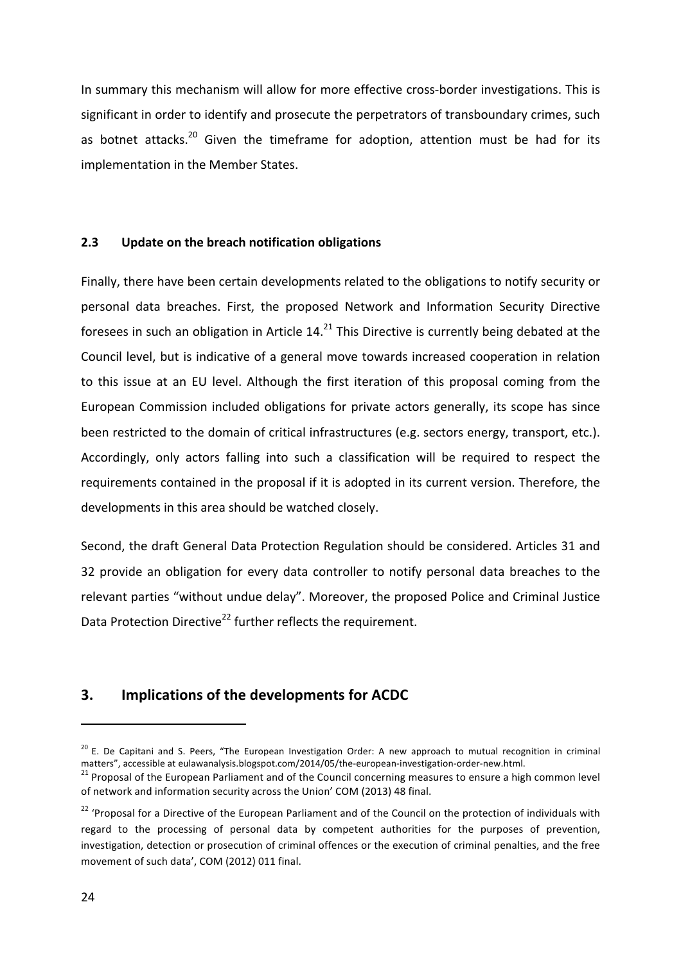In summary this mechanism will allow for more effective cross-border investigations. This is significant in order to identify and prosecute the perpetrators of transboundary crimes, such as botnet attacks.<sup>20</sup> Given the timeframe for adoption, attention must be had for its implementation in the Member States.

## **2.3 Update on the breach notification obligations**

Finally, there have been certain developments related to the obligations to notify security or personal data breaches. First, the proposed Network and Information Security Directive foresees in such an obligation in Article 14.<sup>21</sup> This Directive is currently being debated at the Council level, but is indicative of a general move towards increased cooperation in relation to this issue at an EU level. Although the first iteration of this proposal coming from the European Commission included obligations for private actors generally, its scope has since been restricted to the domain of critical infrastructures (e.g. sectors energy, transport, etc.). Accordingly, only actors falling into such a classification will be required to respect the requirements contained in the proposal if it is adopted in its current version. Therefore, the developments in this area should be watched closely.

Second, the draft General Data Protection Regulation should be considered. Articles 31 and 32 provide an obligation for every data controller to notify personal data breaches to the relevant parties "without undue delay". Moreover, the proposed Police and Criminal Justice Data Protection Directive<sup>22</sup> further reflects the requirement.

# **3.** Implications of the developments for ACDC

 $20$  E. De Capitani and S. Peers, "The European Investigation Order: A new approach to mutual recognition in criminal matters", accessible at eulawanalysis.blogspot.com/2014/05/the-european-investigation-order-new.html.<br><sup>21</sup> Proposal of the European Parliament and of the Council concerning measures to ensure a high common level

of network and information security across the Union' COM (2013) 48 final.

<sup>&</sup>lt;sup>22</sup> 'Proposal for a Directive of the European Parliament and of the Council on the protection of individuals with regard to the processing of personal data by competent authorities for the purposes of prevention, investigation, detection or prosecution of criminal offences or the execution of criminal penalties, and the free movement of such data', COM (2012) 011 final.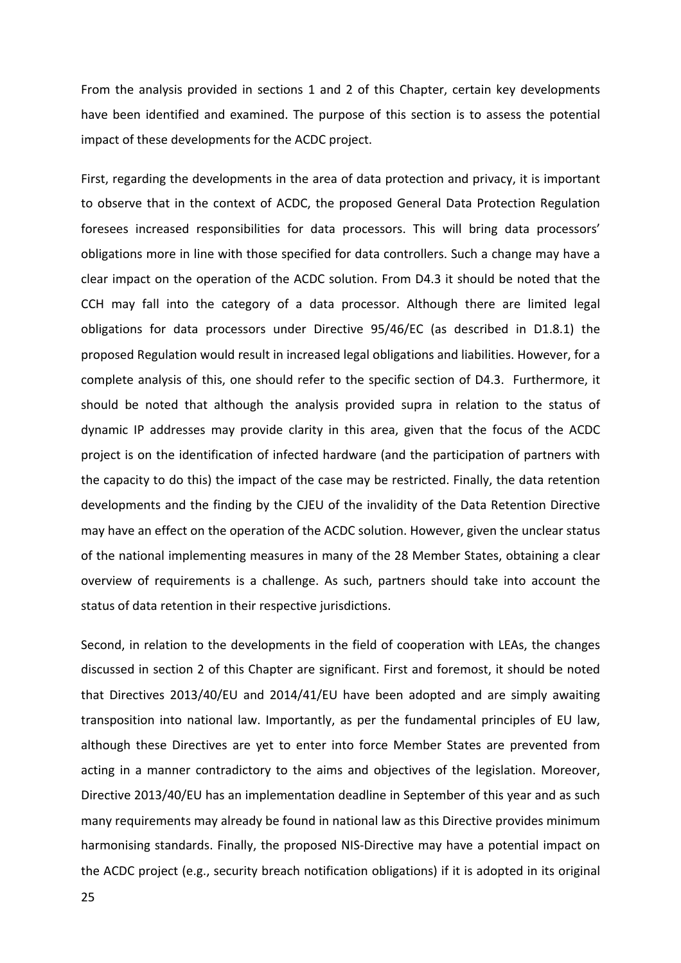From the analysis provided in sections 1 and 2 of this Chapter, certain key developments have been identified and examined. The purpose of this section is to assess the potential impact of these developments for the ACDC project.

First, regarding the developments in the area of data protection and privacy, it is important to observe that in the context of ACDC, the proposed General Data Protection Regulation foresees increased responsibilities for data processors. This will bring data processors' obligations more in line with those specified for data controllers. Such a change may have a clear impact on the operation of the ACDC solution. From D4.3 it should be noted that the CCH may fall into the category of a data processor. Although there are limited legal obligations for data processors under Directive  $95/46/EC$  (as described in D1.8.1) the proposed Regulation would result in increased legal obligations and liabilities. However, for a complete analysis of this, one should refer to the specific section of D4.3. Furthermore, it should be noted that although the analysis provided supra in relation to the status of dynamic IP addresses may provide clarity in this area, given that the focus of the ACDC project is on the identification of infected hardware (and the participation of partners with the capacity to do this) the impact of the case may be restricted. Finally, the data retention developments and the finding by the CJEU of the invalidity of the Data Retention Directive may have an effect on the operation of the ACDC solution. However, given the unclear status of the national implementing measures in many of the 28 Member States, obtaining a clear overview of requirements is a challenge. As such, partners should take into account the status of data retention in their respective jurisdictions.

Second, in relation to the developments in the field of cooperation with LEAs, the changes discussed in section 2 of this Chapter are significant. First and foremost, it should be noted that Directives 2013/40/EU and 2014/41/EU have been adopted and are simply awaiting transposition into national law. Importantly, as per the fundamental principles of EU law, although these Directives are yet to enter into force Member States are prevented from acting in a manner contradictory to the aims and objectives of the legislation. Moreover, Directive 2013/40/EU has an implementation deadline in September of this year and as such many requirements may already be found in national law as this Directive provides minimum harmonising standards. Finally, the proposed NIS-Directive may have a potential impact on the ACDC project (e.g., security breach notification obligations) if it is adopted in its original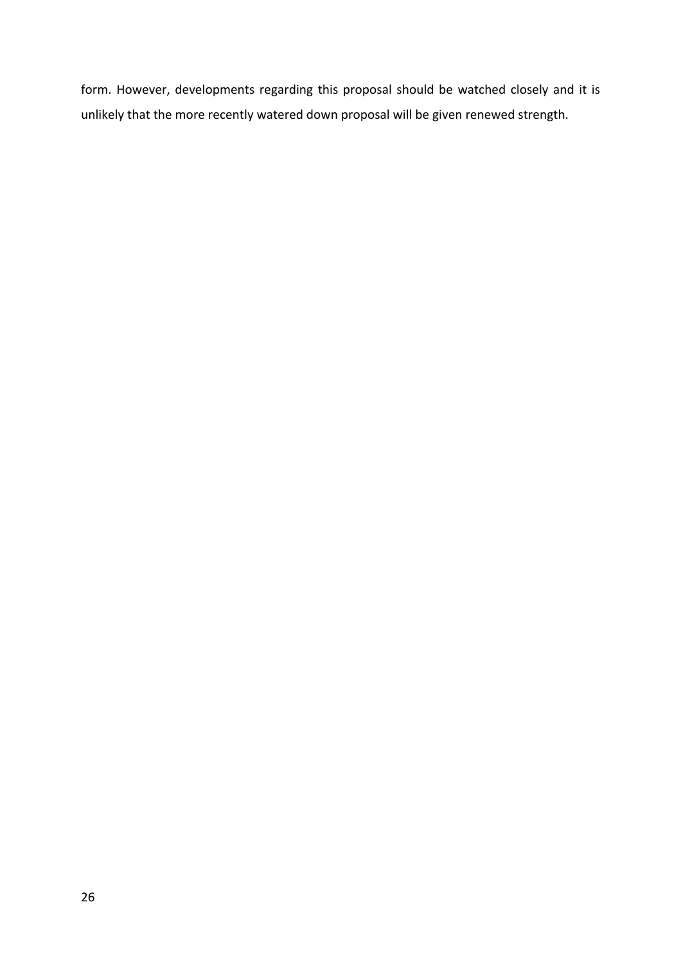form. However, developments regarding this proposal should be watched closely and it is unlikely that the more recently watered down proposal will be given renewed strength.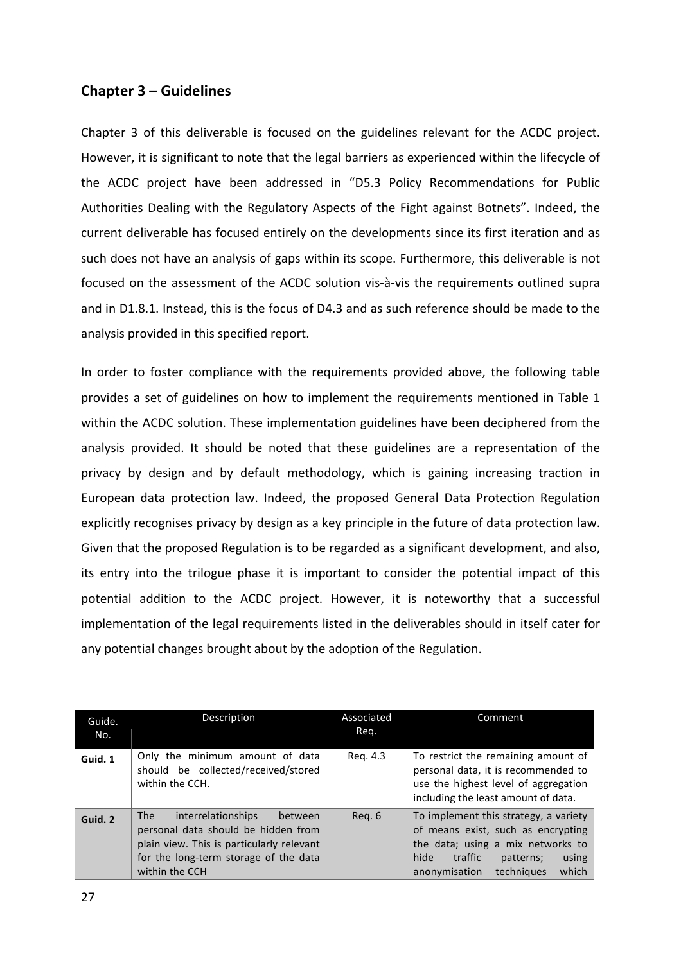# **Chapter 3 – Guidelines**

Chapter 3 of this deliverable is focused on the guidelines relevant for the ACDC project. However, it is significant to note that the legal barriers as experienced within the lifecycle of the ACDC project have been addressed in "D5.3 Policy Recommendations for Public Authorities Dealing with the Regulatory Aspects of the Fight against Botnets". Indeed, the current deliverable has focused entirely on the developments since its first iteration and as such does not have an analysis of gaps within its scope. Furthermore, this deliverable is not focused on the assessment of the ACDC solution vis-à-vis the requirements outlined supra and in D1.8.1. Instead, this is the focus of D4.3 and as such reference should be made to the analysis provided in this specified report.

In order to foster compliance with the requirements provided above, the following table provides a set of guidelines on how to implement the requirements mentioned in Table 1 within the ACDC solution. These implementation guidelines have been deciphered from the analysis provided. It should be noted that these guidelines are a representation of the privacy by design and by default methodology, which is gaining increasing traction in European data protection law. Indeed, the proposed General Data Protection Regulation explicitly recognises privacy by design as a key principle in the future of data protection law. Given that the proposed Regulation is to be regarded as a significant development, and also, its entry into the trilogue phase it is important to consider the potential impact of this potential addition to the ACDC project. However, it is noteworthy that a successful implementation of the legal requirements listed in the deliverables should in itself cater for any potential changes brought about by the adoption of the Regulation.

| Guide.<br>No. | Description                                                                                                                                                                         | Associated<br>Req. | Comment                                                                                                                                                                                           |
|---------------|-------------------------------------------------------------------------------------------------------------------------------------------------------------------------------------|--------------------|---------------------------------------------------------------------------------------------------------------------------------------------------------------------------------------------------|
| Guid. 1       | Only the minimum amount of data<br>should be collected/received/stored<br>within the CCH.                                                                                           | Reg. 4.3           | To restrict the remaining amount of<br>personal data, it is recommended to<br>use the highest level of aggregation<br>including the least amount of data.                                         |
| Guid. 2       | interrelationships<br>The<br>between<br>personal data should be hidden from<br>plain view. This is particularly relevant<br>for the long-term storage of the data<br>within the CCH | Reg. 6             | To implement this strategy, a variety<br>of means exist, such as encrypting<br>the data; using a mix networks to<br>hide<br>traffic<br>using<br>patterns;<br>techniques<br>which<br>anonymisation |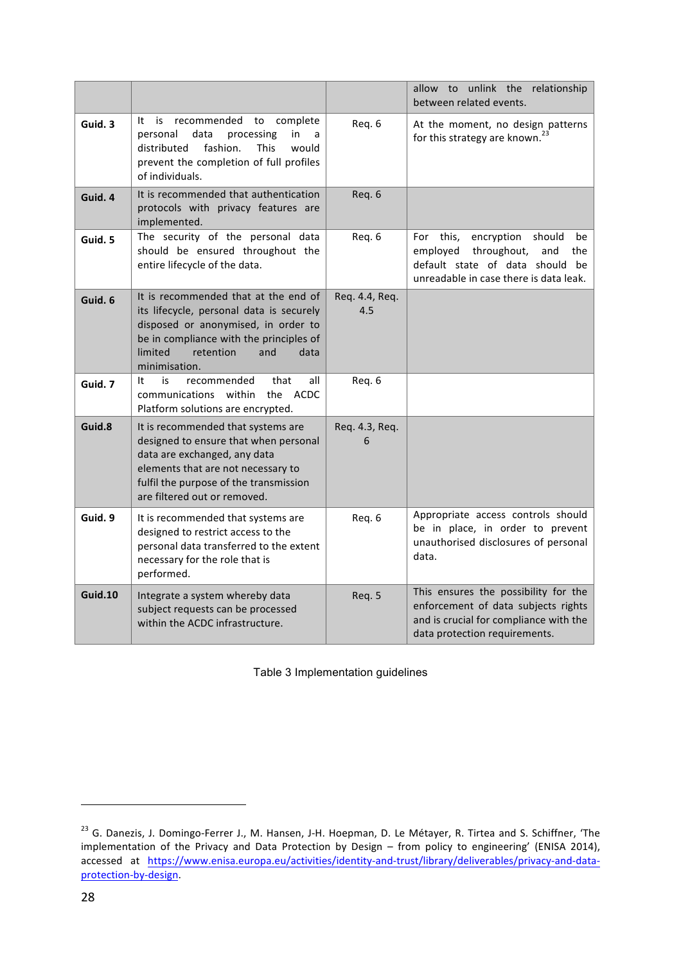|         |                                                                                                                                                                                                                             |                       | allow to unlink the relationship<br>between related events.                                                                                                         |
|---------|-----------------------------------------------------------------------------------------------------------------------------------------------------------------------------------------------------------------------------|-----------------------|---------------------------------------------------------------------------------------------------------------------------------------------------------------------|
| Guid. 3 | recommended to<br>It is<br>complete<br>data<br>in<br>personal<br>processing<br>a<br>fashion.<br>would<br>distributed<br><b>This</b><br>prevent the completion of full profiles<br>of individuals.                           | Req. 6                | At the moment, no design patterns<br>for this strategy are known. <sup>23</sup>                                                                                     |
| Guid. 4 | It is recommended that authentication<br>protocols with privacy features are<br>implemented.                                                                                                                                | Req. 6                |                                                                                                                                                                     |
| Guid. 5 | The security of the personal data<br>should be ensured throughout the<br>entire lifecycle of the data.                                                                                                                      | Req. 6                | this,<br>encryption<br>should<br>For<br>be<br>employed<br>throughout,<br>and<br>the<br>default state of data should<br>be<br>unreadable in case there is data leak. |
| Guid. 6 | It is recommended that at the end of<br>its lifecycle, personal data is securely<br>disposed or anonymised, in order to<br>be in compliance with the principles of<br>limited<br>retention<br>and<br>data<br>minimisation.  | Req. 4.4, Req.<br>4.5 |                                                                                                                                                                     |
| Guid. 7 | is.<br>recommended<br>that<br>It<br>all<br>communications within the<br>ACDC<br>Platform solutions are encrypted.                                                                                                           | Req. 6                |                                                                                                                                                                     |
| Guid.8  | It is recommended that systems are<br>designed to ensure that when personal<br>data are exchanged, any data<br>elements that are not necessary to<br>fulfil the purpose of the transmission<br>are filtered out or removed. | Req. 4.3, Req.<br>6   |                                                                                                                                                                     |
| Guid. 9 | It is recommended that systems are<br>designed to restrict access to the<br>personal data transferred to the extent<br>necessary for the role that is<br>performed.                                                         | Req. 6                | Appropriate access controls should<br>be in place, in order to prevent<br>unauthorised disclosures of personal<br>data.                                             |
| Guid.10 | Integrate a system whereby data<br>subject requests can be processed<br>within the ACDC infrastructure.                                                                                                                     | Req. 5                | This ensures the possibility for the<br>enforcement of data subjects rights<br>and is crucial for compliance with the<br>data protection requirements.              |

Table 3 Implementation guidelines

<sup>&</sup>lt;sup>23</sup> G. Danezis, J. Domingo-Ferrer J., M. Hansen, J-H. Hoepman, D. Le Métayer, R. Tirtea and S. Schiffner, 'The implementation of the Privacy and Data Protection by Design – from policy to engineering' (ENISA 2014), accessed at https://www.enisa.europa.eu/activities/identity-and-trust/library/deliverables/privacy-and-dataprotection-by-design.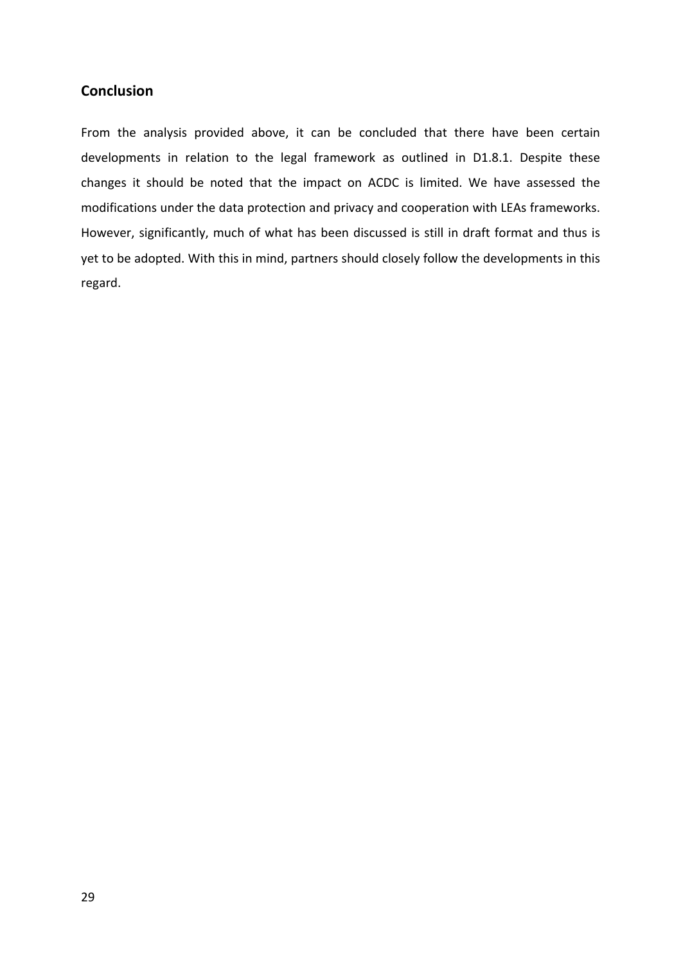# **Conclusion**

From the analysis provided above, it can be concluded that there have been certain developments in relation to the legal framework as outlined in D1.8.1. Despite these changes it should be noted that the impact on ACDC is limited. We have assessed the modifications under the data protection and privacy and cooperation with LEAs frameworks. However, significantly, much of what has been discussed is still in draft format and thus is yet to be adopted. With this in mind, partners should closely follow the developments in this regard.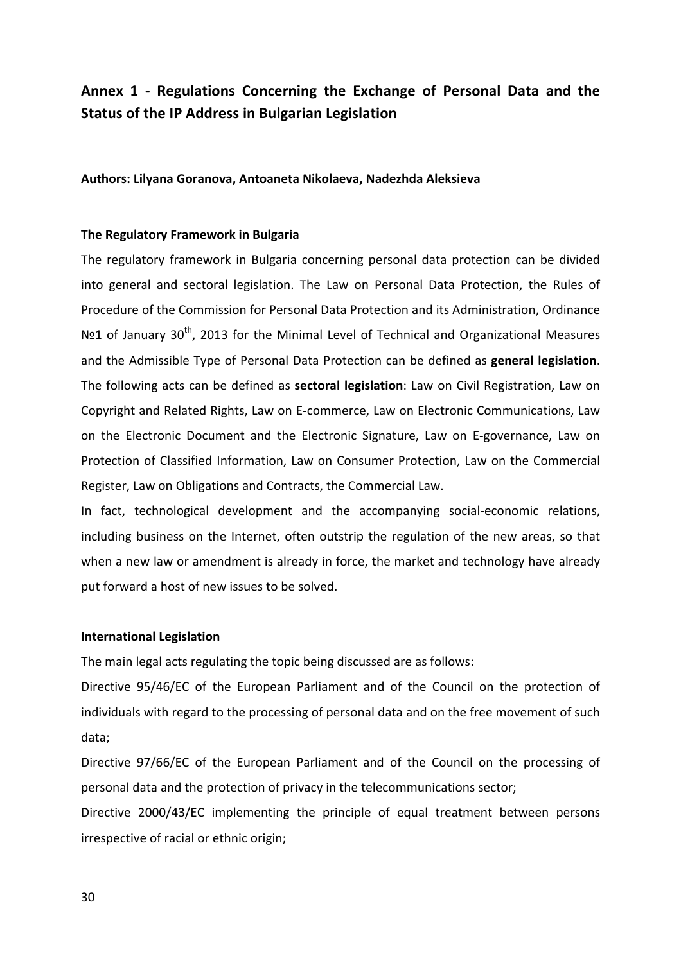# Annex 1 - Regulations Concerning the Exchange of Personal Data and the **Status of the IP Address in Bulgarian Legislation**

**Authors: Lilyana Goranova, Antoaneta Nikolaeva, Nadezhda Aleksieva**

#### **The Regulatory Framework in Bulgaria**

The regulatory framework in Bulgaria concerning personal data protection can be divided into general and sectoral legislation. The Law on Personal Data Protection, the Rules of Procedure of the Commission for Personal Data Protection and its Administration, Ordinance Nº1 of January 30<sup>th</sup>, 2013 for the Minimal Level of Technical and Organizational Measures and the Admissible Type of Personal Data Protection can be defined as **general legislation**. The following acts can be defined as **sectoral legislation**: Law on Civil Registration, Law on Copyright and Related Rights, Law on E-commerce, Law on Electronic Communications, Law on the Electronic Document and the Electronic Signature, Law on E-governance, Law on Protection of Classified Information, Law on Consumer Protection, Law on the Commercial Register, Law on Obligations and Contracts, the Commercial Law.

In fact, technological development and the accompanying social-economic relations, including business on the Internet, often outstrip the regulation of the new areas, so that when a new law or amendment is already in force, the market and technology have already put forward a host of new issues to be solved.

#### **International Legislation**

The main legal acts regulating the topic being discussed are as follows:

Directive 95/46/EC of the European Parliament and of the Council on the protection of individuals with regard to the processing of personal data and on the free movement of such data;

Directive 97/66/EC of the European Parliament and of the Council on the processing of personal data and the protection of privacy in the telecommunications sector;

Directive 2000/43/EC implementing the principle of equal treatment between persons irrespective of racial or ethnic origin;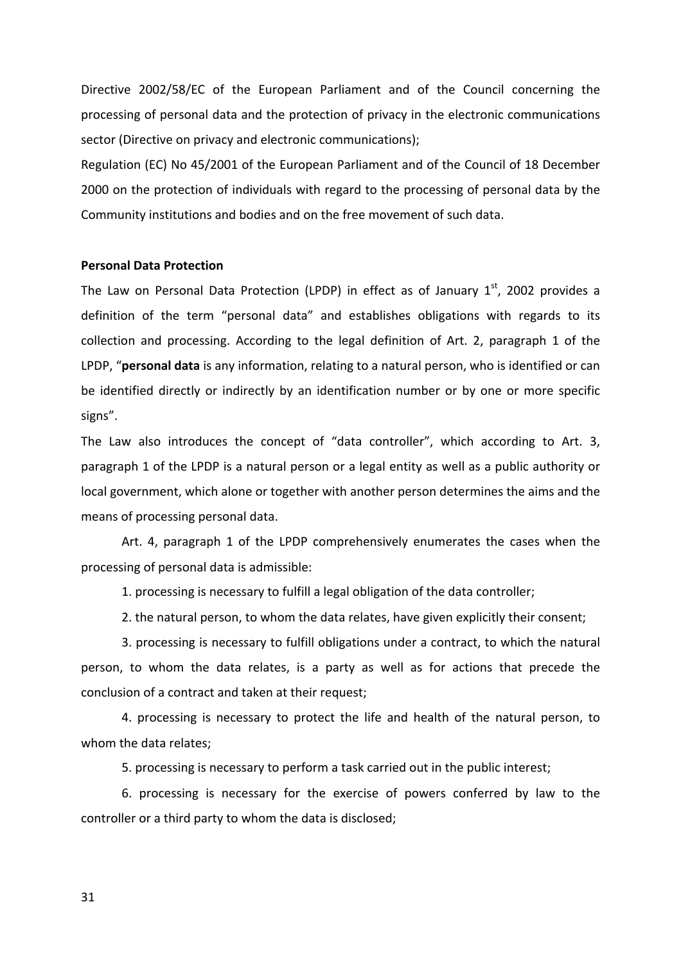Directive 2002/58/EC of the European Parliament and of the Council concerning the processing of personal data and the protection of privacy in the electronic communications sector (Directive on privacy and electronic communications);

Regulation (EC) No 45/2001 of the European Parliament and of the Council of 18 December 2000 on the protection of individuals with regard to the processing of personal data by the Community institutions and bodies and on the free movement of such data.

#### **Personal Data Protection**

The Law on Personal Data Protection (LPDP) in effect as of January  $1<sup>st</sup>$ , 2002 provides a definition of the term "personal data" and establishes obligations with regards to its collection and processing. According to the legal definition of Art. 2, paragraph 1 of the LPDP, "**personal data** is any information, relating to a natural person, who is identified or can be identified directly or indirectly by an identification number or by one or more specific signs".

The Law also introduces the concept of "data controller", which according to Art. 3, paragraph 1 of the LPDP is a natural person or a legal entity as well as a public authority or local government, which alone or together with another person determines the aims and the means of processing personal data.

Art. 4, paragraph 1 of the LPDP comprehensively enumerates the cases when the processing of personal data is admissible:

1. processing is necessary to fulfill a legal obligation of the data controller;

2. the natural person, to whom the data relates, have given explicitly their consent;

3. processing is necessary to fulfill obligations under a contract, to which the natural person, to whom the data relates, is a party as well as for actions that precede the conclusion of a contract and taken at their request;

4. processing is necessary to protect the life and health of the natural person, to whom the data relates;

5. processing is necessary to perform a task carried out in the public interest;

6. processing is necessary for the exercise of powers conferred by law to the controller or a third party to whom the data is disclosed;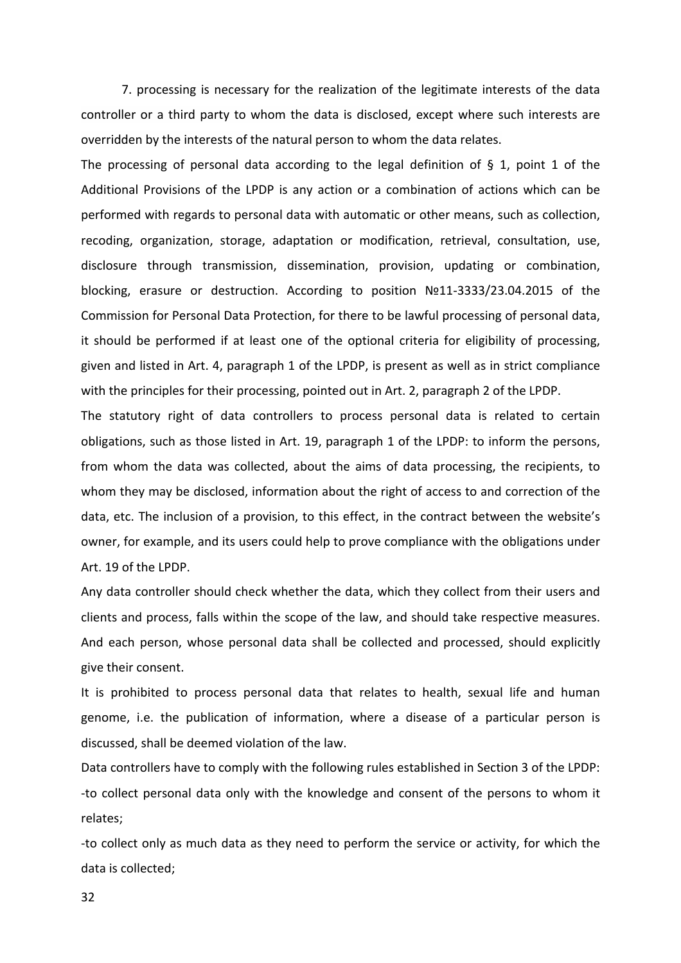7. processing is necessary for the realization of the legitimate interests of the data controller or a third party to whom the data is disclosed, except where such interests are overridden by the interests of the natural person to whom the data relates.

The processing of personal data according to the legal definition of § 1, point 1 of the Additional Provisions of the LPDP is any action or a combination of actions which can be performed with regards to personal data with automatic or other means, such as collection, recoding, organization, storage, adaptation or modification, retrieval, consultation, use, disclosure through transmission, dissemination, provision, updating or combination, blocking, erasure or destruction. According to position Nº11-3333/23.04.2015 of the Commission for Personal Data Protection, for there to be lawful processing of personal data, it should be performed if at least one of the optional criteria for eligibility of processing, given and listed in Art. 4, paragraph 1 of the LPDP, is present as well as in strict compliance with the principles for their processing, pointed out in Art. 2, paragraph 2 of the LPDP.

The statutory right of data controllers to process personal data is related to certain obligations, such as those listed in Art. 19, paragraph 1 of the LPDP: to inform the persons, from whom the data was collected, about the aims of data processing, the recipients, to whom they may be disclosed, information about the right of access to and correction of the data, etc. The inclusion of a provision, to this effect, in the contract between the website's owner, for example, and its users could help to prove compliance with the obligations under Art. 19 of the LPDP.

Any data controller should check whether the data, which they collect from their users and clients and process, falls within the scope of the law, and should take respective measures. And each person, whose personal data shall be collected and processed, should explicitly give their consent.

It is prohibited to process personal data that relates to health, sexual life and human genome, i.e. the publication of information, where a disease of a particular person is discussed, shall be deemed violation of the law.

Data controllers have to comply with the following rules established in Section 3 of the LPDP: -to collect personal data only with the knowledge and consent of the persons to whom it relates;

-to collect only as much data as they need to perform the service or activity, for which the data is collected;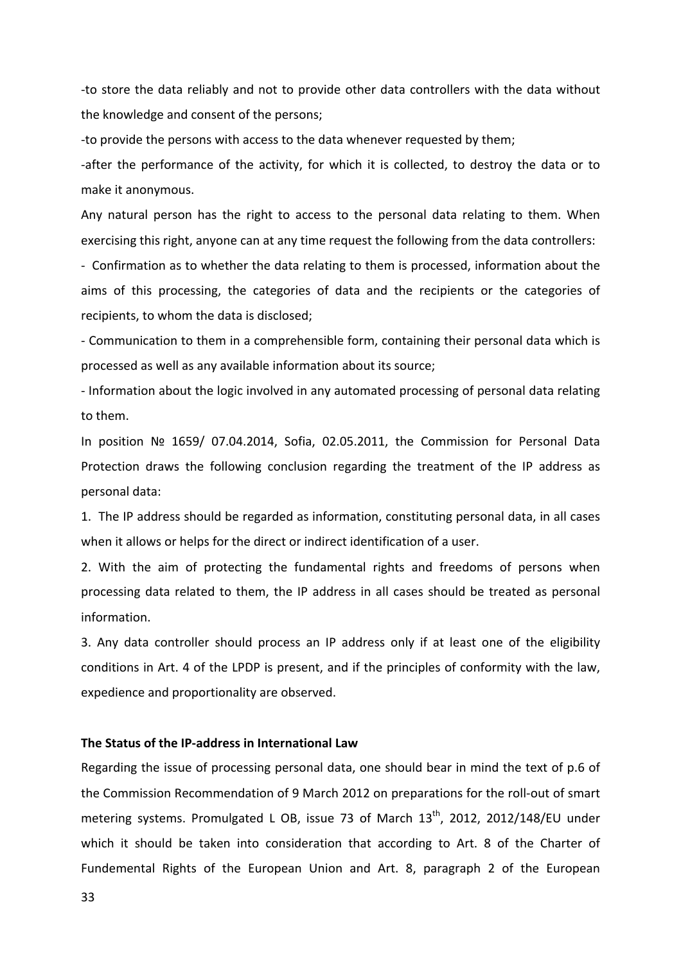-to store the data reliably and not to provide other data controllers with the data without the knowledge and consent of the persons;

-to provide the persons with access to the data whenever requested by them;

-after the performance of the activity, for which it is collected, to destroy the data or to make it anonymous.

Any natural person has the right to access to the personal data relating to them. When exercising this right, anyone can at any time request the following from the data controllers:

- Confirmation as to whether the data relating to them is processed, information about the aims of this processing, the categories of data and the recipients or the categories of recipients, to whom the data is disclosed;

- Communication to them in a comprehensible form, containing their personal data which is processed as well as any available information about its source;

- Information about the logic involved in any automated processing of personal data relating to them.

In position Nº 1659/ 07.04.2014, Sofia, 02.05.2011, the Commission for Personal Data Protection draws the following conclusion regarding the treatment of the IP address as personal data:

1. The IP address should be regarded as information, constituting personal data, in all cases when it allows or helps for the direct or indirect identification of a user.

2. With the aim of protecting the fundamental rights and freedoms of persons when processing data related to them, the IP address in all cases should be treated as personal information.

3. Any data controller should process an IP address only if at least one of the eligibility conditions in Art. 4 of the LPDP is present, and if the principles of conformity with the law, expedience and proportionality are observed.

### The Status of the IP-address in International Law

Regarding the issue of processing personal data, one should bear in mind the text of p.6 of the Commission Recommendation of 9 March 2012 on preparations for the roll-out of smart metering systems. Promulgated L OB, issue 73 of March  $13<sup>th</sup>$ , 2012, 2012/148/EU under which it should be taken into consideration that according to Art. 8 of the Charter of Fundemental Rights of the European Union and Art. 8, paragraph 2 of the European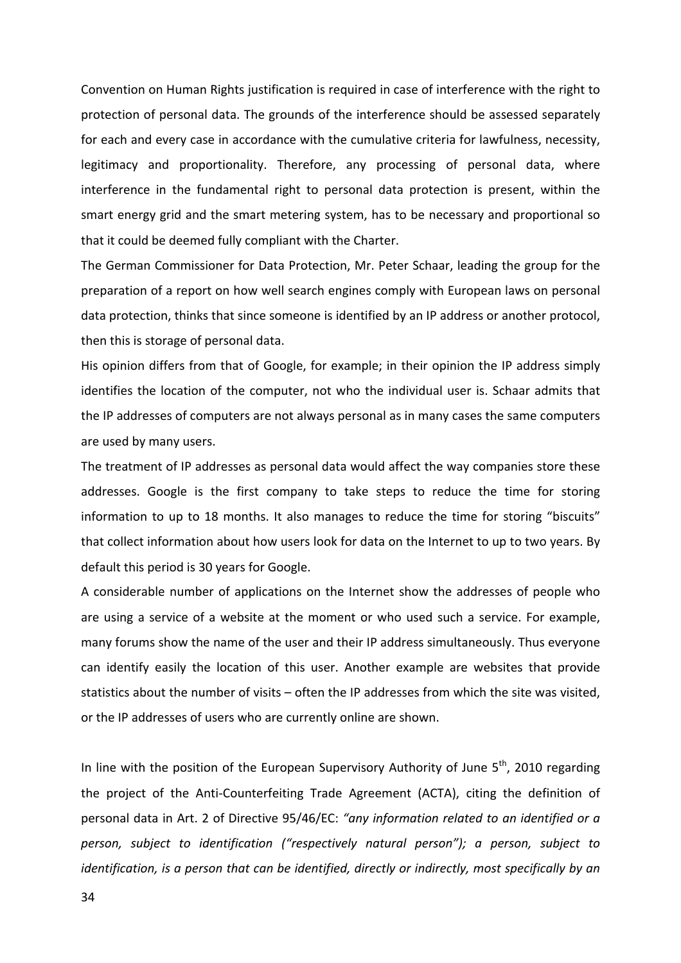Convention on Human Rights justification is required in case of interference with the right to protection of personal data. The grounds of the interference should be assessed separately for each and every case in accordance with the cumulative criteria for lawfulness, necessity, legitimacy and proportionality. Therefore, any processing of personal data, where interference in the fundamental right to personal data protection is present, within the smart energy grid and the smart metering system, has to be necessary and proportional so that it could be deemed fully compliant with the Charter.

The German Commissioner for Data Protection, Mr. Peter Schaar, leading the group for the preparation of a report on how well search engines comply with European laws on personal data protection, thinks that since someone is identified by an IP address or another protocol, then this is storage of personal data.

His opinion differs from that of Google, for example; in their opinion the IP address simply identifies the location of the computer, not who the individual user is. Schaar admits that the IP addresses of computers are not always personal as in many cases the same computers are used by many users.

The treatment of IP addresses as personal data would affect the way companies store these addresses. Google is the first company to take steps to reduce the time for storing information to up to 18 months. It also manages to reduce the time for storing "biscuits" that collect information about how users look for data on the Internet to up to two years. By default this period is 30 years for Google.

A considerable number of applications on the Internet show the addresses of people who are using a service of a website at the moment or who used such a service. For example, many forums show the name of the user and their IP address simultaneously. Thus everyone can identify easily the location of this user. Another example are websites that provide statistics about the number of visits – often the IP addresses from which the site was visited, or the IP addresses of users who are currently online are shown.

In line with the position of the European Supervisory Authority of June  $5<sup>th</sup>$ , 2010 regarding the project of the Anti-Counterfeiting Trade Agreement (ACTA), citing the definition of personal data in Art. 2 of Directive 95/46/EC: "any information related to an identified or a *person, subject to identification ("respectively natural person"); a person, subject to identification, is a person that can be identified, directly or indirectly, most specifically by an*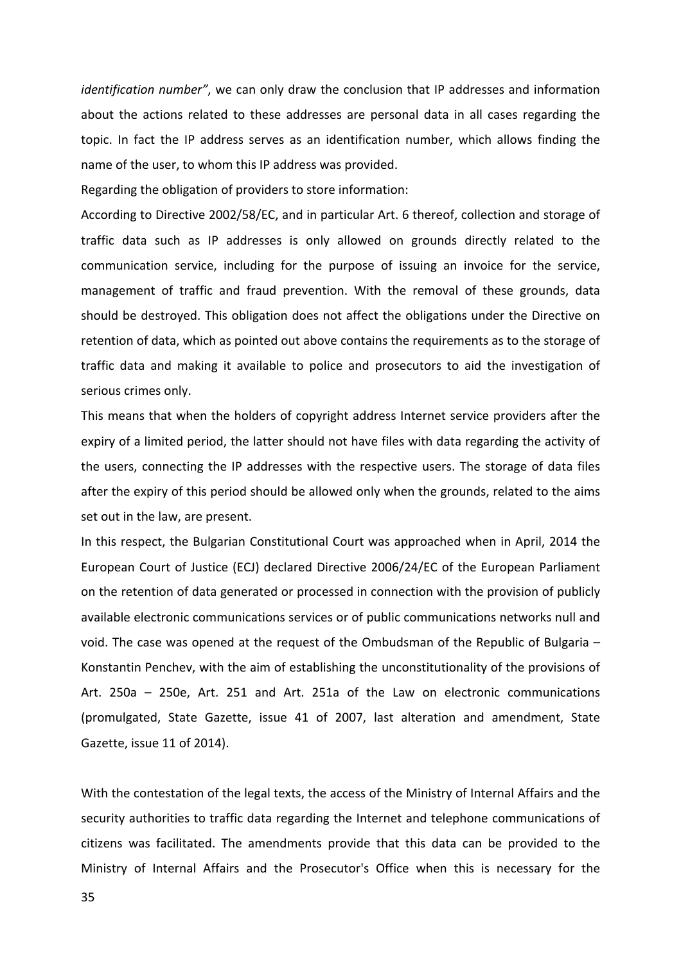*identification number"*, we can only draw the conclusion that IP addresses and information about the actions related to these addresses are personal data in all cases regarding the topic. In fact the IP address serves as an identification number, which allows finding the name of the user, to whom this IP address was provided.

Regarding the obligation of providers to store information:

According to Directive 2002/58/EC, and in particular Art. 6 thereof, collection and storage of traffic data such as IP addresses is only allowed on grounds directly related to the communication service, including for the purpose of issuing an invoice for the service, management of traffic and fraud prevention. With the removal of these grounds, data should be destroyed. This obligation does not affect the obligations under the Directive on retention of data, which as pointed out above contains the requirements as to the storage of traffic data and making it available to police and prosecutors to aid the investigation of serious crimes only.

This means that when the holders of copyright address Internet service providers after the expiry of a limited period, the latter should not have files with data regarding the activity of the users, connecting the IP addresses with the respective users. The storage of data files after the expiry of this period should be allowed only when the grounds, related to the aims set out in the law, are present.

In this respect, the Bulgarian Constitutional Court was approached when in April, 2014 the European Court of Justice (ECJ) declared Directive 2006/24/EC of the European Parliament on the retention of data generated or processed in connection with the provision of publicly available electronic communications services or of public communications networks null and void. The case was opened at the request of the Ombudsman of the Republic of Bulgaria  $-$ Konstantin Penchev, with the aim of establishing the unconstitutionality of the provisions of Art. 250a – 250e, Art. 251 and Art. 251a of the Law on electronic communications (promulgated, State Gazette, issue 41 of 2007, last alteration and amendment, State Gazette, issue 11 of 2014).

With the contestation of the legal texts, the access of the Ministry of Internal Affairs and the security authorities to traffic data regarding the Internet and telephone communications of citizens was facilitated. The amendments provide that this data can be provided to the Ministry of Internal Affairs and the Prosecutor's Office when this is necessary for the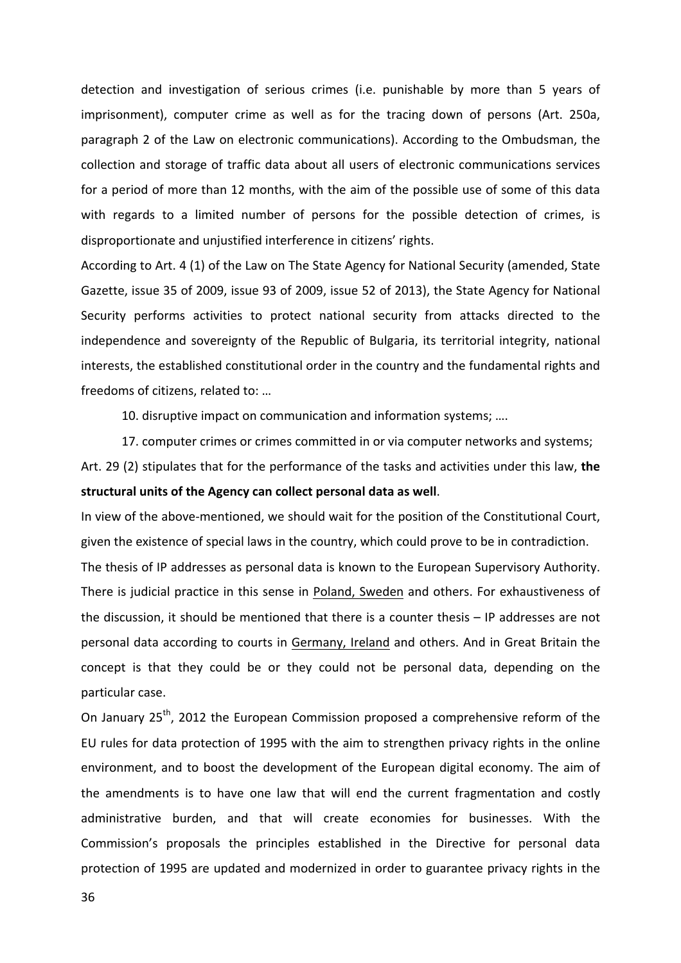detection and investigation of serious crimes (i.e. punishable by more than 5 years of imprisonment), computer crime as well as for the tracing down of persons (Art. 250a, paragraph 2 of the Law on electronic communications). According to the Ombudsman, the collection and storage of traffic data about all users of electronic communications services for a period of more than 12 months, with the aim of the possible use of some of this data with regards to a limited number of persons for the possible detection of crimes, is disproportionate and unjustified interference in citizens' rights.

According to Art. 4 (1) of the Law on The State Agency for National Security (amended, State Gazette, issue 35 of 2009, issue 93 of 2009, issue 52 of 2013), the State Agency for National Security performs activities to protect national security from attacks directed to the independence and sovereignty of the Republic of Bulgaria, its territorial integrity, national interests, the established constitutional order in the country and the fundamental rights and freedoms of citizens, related to: ...

10. disruptive impact on communication and information systems; ....

17. computer crimes or crimes committed in or via computer networks and systems; Art. 29 (2) stipulates that for the performance of the tasks and activities under this law, the structural units of the Agency can collect personal data as well.

In view of the above-mentioned, we should wait for the position of the Constitutional Court, given the existence of special laws in the country, which could prove to be in contradiction. The thesis of IP addresses as personal data is known to the European Supervisory Authority. There is judicial practice in this sense in Poland, Sweden and others. For exhaustiveness of the discussion, it should be mentioned that there is a counter thesis  $-$  IP addresses are not personal data according to courts in Germany, Ireland and others. And in Great Britain the concept is that they could be or they could not be personal data, depending on the particular case.

On January 25<sup>th</sup>, 2012 the European Commission proposed a comprehensive reform of the EU rules for data protection of 1995 with the aim to strengthen privacy rights in the online environment, and to boost the development of the European digital economy. The aim of the amendments is to have one law that will end the current fragmentation and costly administrative burden, and that will create economies for businesses. With the Commission's proposals the principles established in the Directive for personal data protection of 1995 are updated and modernized in order to guarantee privacy rights in the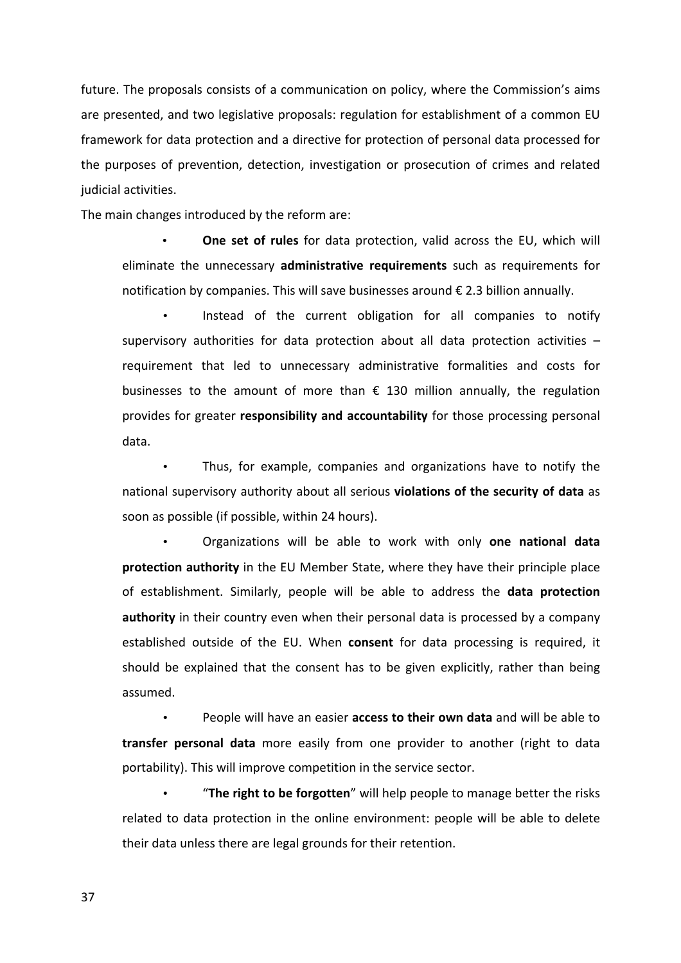future. The proposals consists of a communication on policy, where the Commission's aims are presented, and two legislative proposals: regulation for establishment of a common EU framework for data protection and a directive for protection of personal data processed for the purposes of prevention, detection, investigation or prosecution of crimes and related judicial activities.

The main changes introduced by the reform are:

**One set of rules** for data protection, valid across the EU, which will eliminate the unnecessary **administrative requirements** such as requirements for notification by companies. This will save businesses around  $\epsilon$  2.3 billion annually.

Instead of the current obligation for all companies to notify supervisory authorities for data protection about all data protection activities  $$ requirement that led to unnecessary administrative formalities and costs for businesses to the amount of more than  $\epsilon$  130 million annually, the regulation provides for greater **responsibility and accountability** for those processing personal data.

Thus, for example, companies and organizations have to notify the national supervisory authority about all serious violations of the security of data as soon as possible (if possible, within 24 hours).

Organizations will be able to work with only one national data **protection authority** in the EU Member State, where they have their principle place of establishment. Similarly, people will be able to address the **data protection authority** in their country even when their personal data is processed by a company established outside of the EU. When **consent** for data processing is required, it should be explained that the consent has to be given explicitly, rather than being assumed.

People will have an easier **access to their own data** and will be able to **transfer personal data** more easily from one provider to another (right to data portability). This will improve competition in the service sector.

"The right to be forgotten" will help people to manage better the risks related to data protection in the online environment: people will be able to delete their data unless there are legal grounds for their retention.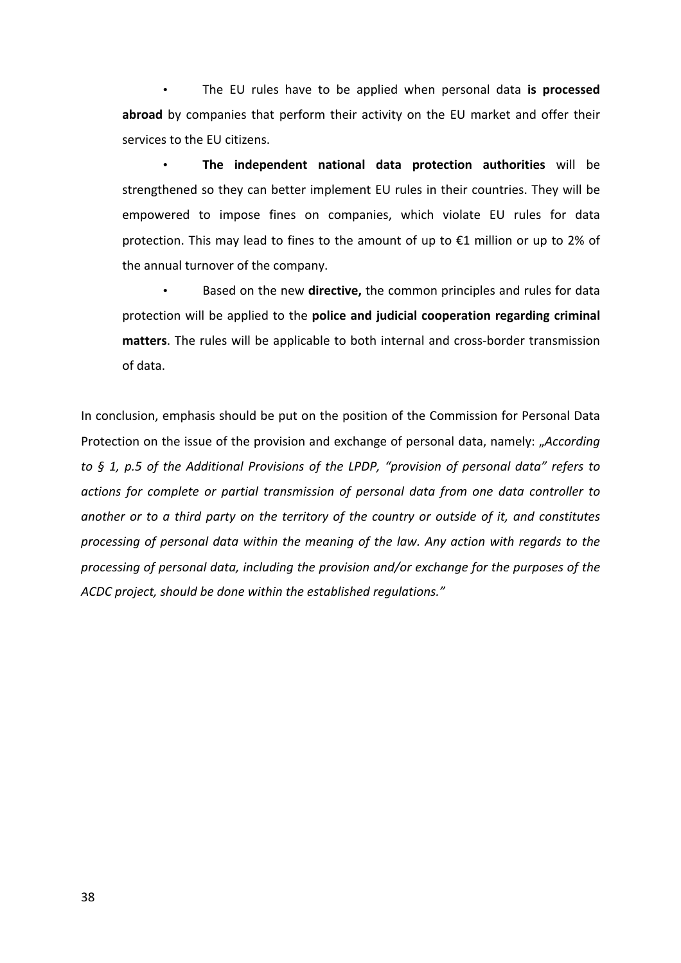• The EU rules have to be applied when personal data is processed **abroad** by companies that perform their activity on the EU market and offer their services to the EU citizens.

• The independent national data protection authorities will be strengthened so they can better implement EU rules in their countries. They will be empowered to impose fines on companies, which violate EU rules for data protection. This may lead to fines to the amount of up to  $\epsilon$ 1 million or up to 2% of the annual turnover of the company.

Based on the new directive, the common principles and rules for data protection will be applied to the **police and judicial cooperation regarding criminal** matters. The rules will be applicable to both internal and cross-border transmission of data.

In conclusion, emphasis should be put on the position of the Commission for Personal Data Protection on the issue of the provision and exchange of personal data, namely: "According *to* § 1, p.5 of the Additional Provisions of the LPDP, "provision of personal data" refers to *actions for complete or partial transmission of personal data from one data controller to another* or to a third party on the territory of the country or outside of it, and constitutes *processing* of personal data within the meaning of the law. Any action with regards to the processing of personal data, including the provision and/or exchange for the purposes of the ACDC project, should be done within the established regulations."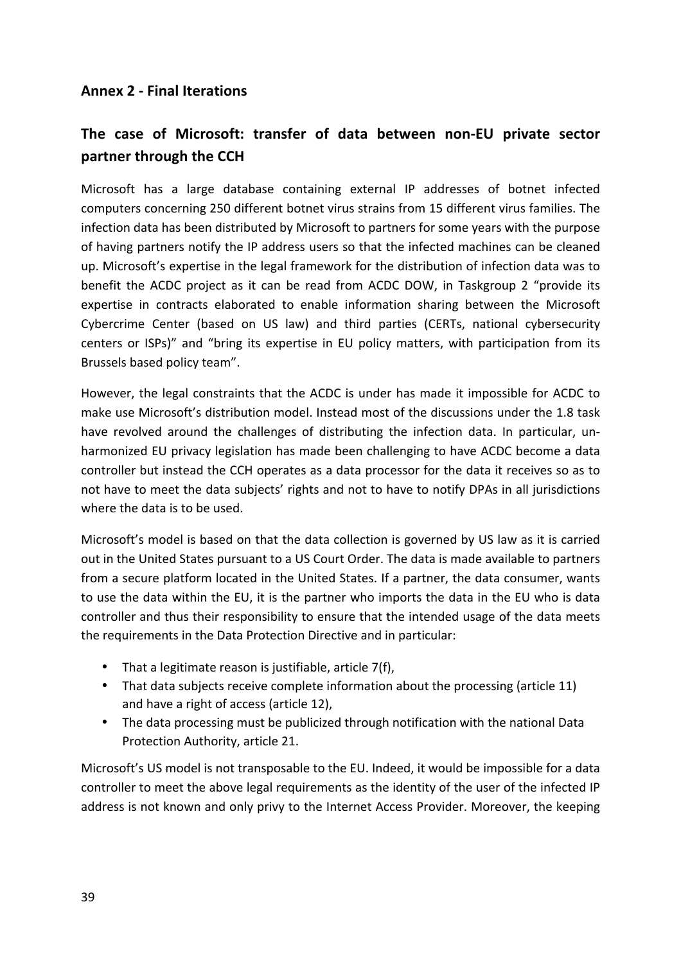# **Annex 2 - Final Iterations**

# The case of Microsoft: transfer of data between non-EU private sector **partner through the CCH**

Microsoft has a large database containing external IP addresses of botnet infected computers concerning 250 different botnet virus strains from 15 different virus families. The infection data has been distributed by Microsoft to partners for some years with the purpose of having partners notify the IP address users so that the infected machines can be cleaned up. Microsoft's expertise in the legal framework for the distribution of infection data was to benefit the ACDC project as it can be read from ACDC DOW, in Taskgroup 2 "provide its expertise in contracts elaborated to enable information sharing between the Microsoft Cybercrime Center (based on US law) and third parties (CERTs, national cybersecurity centers or ISPs)" and "bring its expertise in EU policy matters, with participation from its Brussels based policy team".

However, the legal constraints that the ACDC is under has made it impossible for ACDC to make use Microsoft's distribution model. Instead most of the discussions under the 1.8 task have revolved around the challenges of distributing the infection data. In particular, unharmonized EU privacy legislation has made been challenging to have ACDC become a data controller but instead the CCH operates as a data processor for the data it receives so as to not have to meet the data subjects' rights and not to have to notify DPAs in all jurisdictions where the data is to be used.

Microsoft's model is based on that the data collection is governed by US law as it is carried out in the United States pursuant to a US Court Order. The data is made available to partners from a secure platform located in the United States. If a partner, the data consumer, wants to use the data within the EU, it is the partner who imports the data in the EU who is data controller and thus their responsibility to ensure that the intended usage of the data meets the requirements in the Data Protection Directive and in particular:

- That a legitimate reason is justifiable, article  $7(f)$ ,
- That data subjects receive complete information about the processing (article 11) and have a right of access (article 12),
- The data processing must be publicized through notification with the national Data Protection Authority, article 21.

Microsoft's US model is not transposable to the EU. Indeed, it would be impossible for a data controller to meet the above legal requirements as the identity of the user of the infected IP address is not known and only privy to the Internet Access Provider. Moreover, the keeping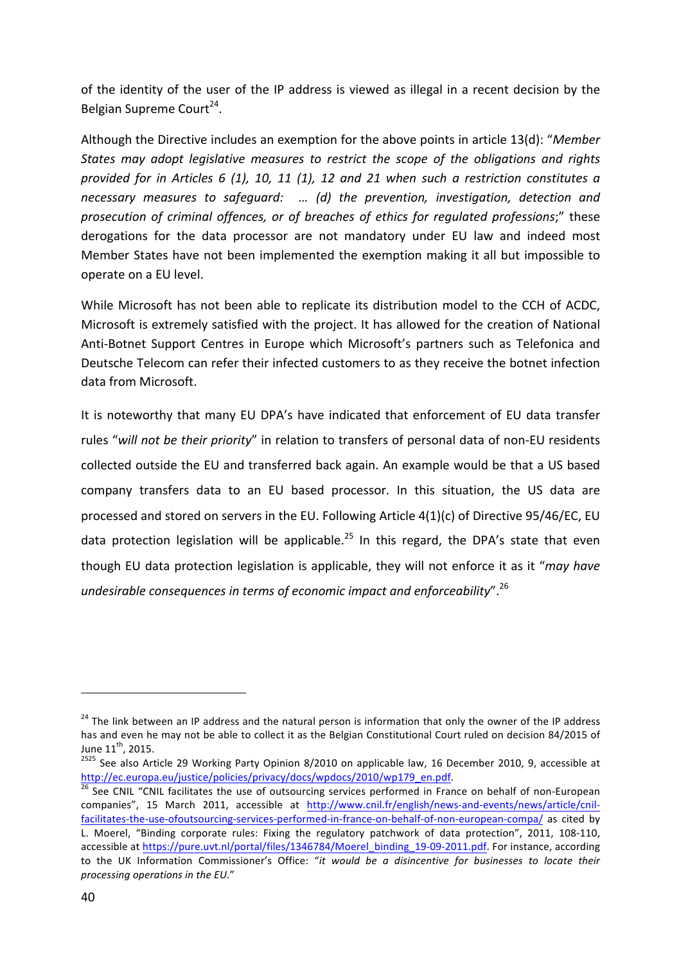of the identity of the user of the IP address is viewed as illegal in a recent decision by the Belgian Supreme Court<sup>24</sup>.

Although the Directive includes an exemption for the above points in article 13(d): "Member States may adopt legislative measures to restrict the scope of the obligations and rights *provided for in Articles 6 (1), 10, 11 (1), 12 and 21 when such a restriction constitutes a* necessary measures to safeguard: ... (d) the prevention, investigation, detection and prosecution of criminal offences, or of breaches of ethics for regulated professions;" these derogations for the data processor are not mandatory under EU law and indeed most Member States have not been implemented the exemption making it all but impossible to operate on a EU level.

While Microsoft has not been able to replicate its distribution model to the CCH of ACDC, Microsoft is extremely satisfied with the project. It has allowed for the creation of National Anti-Botnet Support Centres in Europe which Microsoft's partners such as Telefonica and Deutsche Telecom can refer their infected customers to as they receive the botnet infection data from Microsoft.

It is noteworthy that many EU DPA's have indicated that enforcement of EU data transfer rules "will not be their priority" in relation to transfers of personal data of non-EU residents collected outside the EU and transferred back again. An example would be that a US based company transfers data to an EU based processor. In this situation, the US data are processed and stored on servers in the EU. Following Article  $4(1)(c)$  of Directive 95/46/EC, EU data protection legislation will be applicable.<sup>25</sup> In this regard, the DPA's state that even though EU data protection legislation is applicable, they will not enforce it as it "*may have undesirable consequences in terms of economic impact and enforceabilitv*".<sup>26</sup>

 $24$  The link between an IP address and the natural person is information that only the owner of the IP address has and even he may not be able to collect it as the Belgian Constitutional Court ruled on decision 84/2015 of June  $11^{th}$ , 2015.<br><sup>2525</sup> See also Article 29 Working Party Opinion 8/2010 on applicable law, 16 December 2010, 9, accessible at

http://ec.europa.eu/justice/policies/privacy/docs/wpdocs/2010/wp179\_en.pdf.<br><sup>26</sup> See CNIL "CNIL facilitates the use of outsourcing services performed in France on behalf of non-European

companies", 15 March 2011, accessible at http://www.cnil.fr/english/news-and-events/news/article/cnilfacilitates-the-use-ofoutsourcing-services-performed-in-france-on-behalf-of-non-european-compa/ as cited by L. Moerel, "Binding corporate rules: Fixing the regulatory patchwork of data protection", 2011, 108-110, accessible at https://pure.uvt.nl/portal/files/1346784/Moerel\_binding\_19-09-2011.pdf. For instance, according to the UK Information Commissioner's Office: "*it would be a disincentive for businesses to locate their* processing operations in the EU."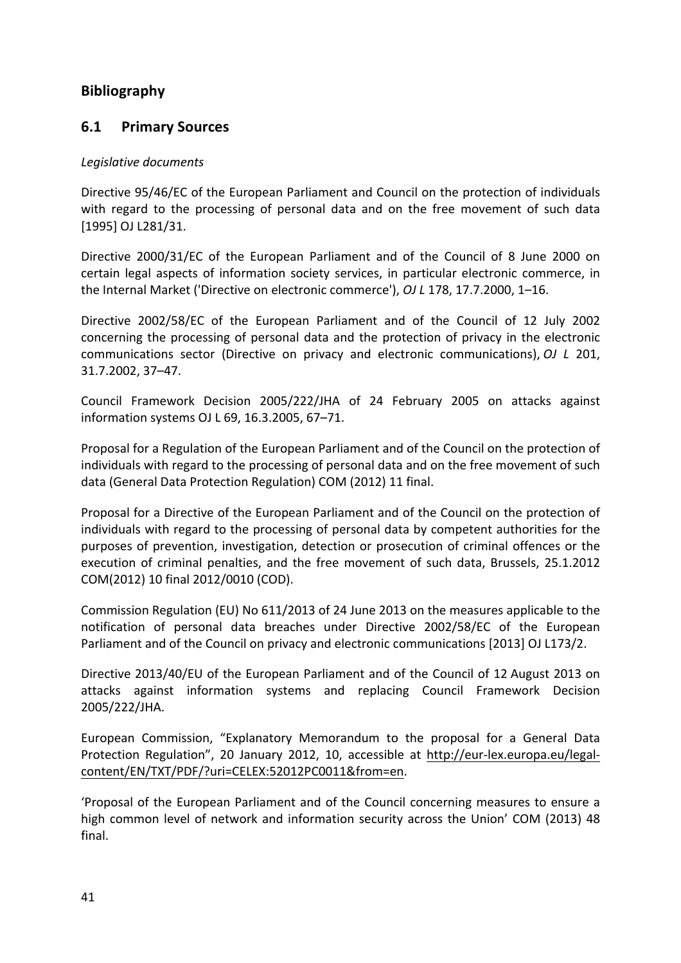# **Bibliography**

# **6.1 Primary Sources**

# *Legislative documents*

Directive 95/46/EC of the European Parliament and Council on the protection of individuals with regard to the processing of personal data and on the free movement of such data [1995] OJ L281/31.

Directive 2000/31/EC of the European Parliament and of the Council of 8 June 2000 on certain legal aspects of information society services, in particular electronic commerce, in the Internal Market ('Directive on electronic commerce'), *OJ L* 178, 17.7.2000, 1-16.

Directive 2002/58/EC of the European Parliament and of the Council of 12 July 2002 concerning the processing of personal data and the protection of privacy in the electronic communications sector (Directive on privacy and electronic communications), *OJ L* 201, 31.7.2002, 37–47.

Council Framework Decision 2005/222/JHA of 24 February 2005 on attacks against information systems OJ L 69, 16.3.2005, 67-71.

Proposal for a Regulation of the European Parliament and of the Council on the protection of individuals with regard to the processing of personal data and on the free movement of such data (General Data Protection Regulation) COM (2012) 11 final.

Proposal for a Directive of the European Parliament and of the Council on the protection of individuals with regard to the processing of personal data by competent authorities for the purposes of prevention, investigation, detection or prosecution of criminal offences or the execution of criminal penalties, and the free movement of such data, Brussels, 25.1.2012 COM(2012) 10 final 2012/0010 (COD).

Commission Regulation (EU) No 611/2013 of 24 June 2013 on the measures applicable to the notification of personal data breaches under Directive 2002/58/EC of the European Parliament and of the Council on privacy and electronic communications [2013] OJ L173/2.

Directive 2013/40/EU of the European Parliament and of the Council of 12 August 2013 on attacks against information systems and replacing Council Framework Decision 2005/222/JHA.

European Commission, "Explanatory Memorandum to the proposal for a General Data Protection Regulation", 20 January 2012, 10, accessible at http://eur-lex.europa.eu/legalcontent/EN/TXT/PDF/?uri=CELEX:52012PC0011&from=en.

'Proposal of the European Parliament and of the Council concerning measures to ensure a high common level of network and information security across the Union' COM (2013) 48 final.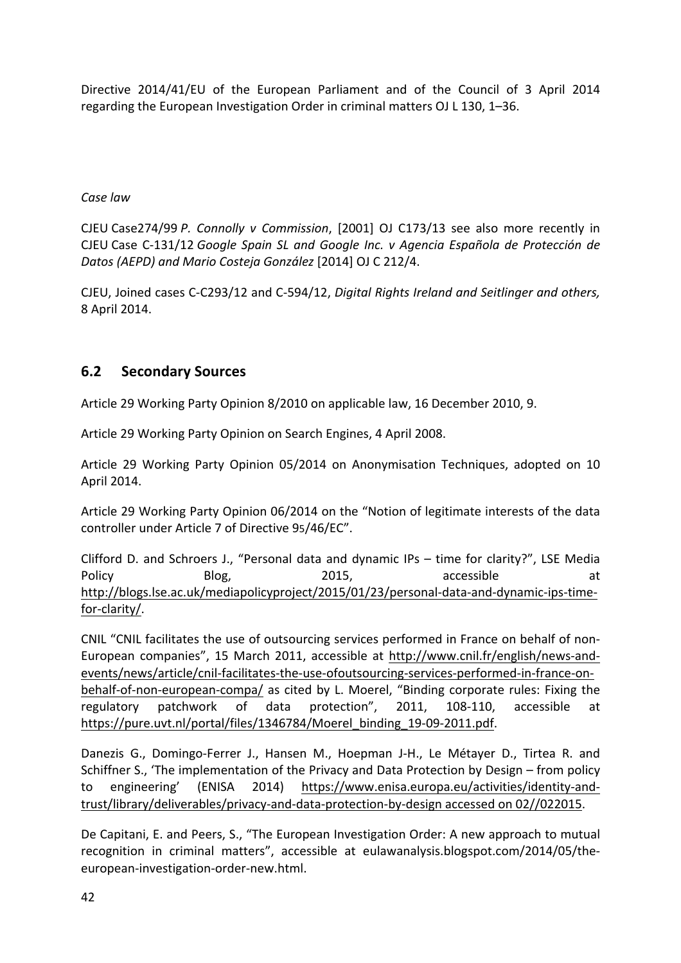Directive 2014/41/EU of the European Parliament and of the Council of 3 April 2014 regarding the European Investigation Order in criminal matters OJ L 130, 1-36.

# *Case law*

CJEU Case274/99 *P. Connolly v Commission*, [2001] OJ C173/13 see also more recently in CJEU Case C-131/12 *Google Spain SL and Google Inc.* v Agencia Española de Protección de *Datos (AEPD) and Mario Costeja González* [2014] OJ C 212/4.

CJEU, Joined cases C-C293/12 and C-594/12, *Digital Rights Ireland and Seitlinger and others,* 8 April 2014.

# **6.2 Secondary Sources**

Article 29 Working Party Opinion 8/2010 on applicable law, 16 December 2010, 9.

Article 29 Working Party Opinion on Search Engines, 4 April 2008.

Article 29 Working Party Opinion 05/2014 on Anonymisation Techniques, adopted on 10 April 2014.

Article 29 Working Party Opinion 06/2014 on the "Notion of legitimate interests of the data controller under Article 7 of Directive 95/46/EC".

Clifford D. and Schroers J., "Personal data and dynamic IPs  $-$  time for clarity?", LSE Media Policy Blog, 2015, accessible at http://blogs.lse.ac.uk/mediapolicyproject/2015/01/23/personal-data-and-dynamic-ips-timefor-clarity/.

CNIL "CNIL facilitates the use of outsourcing services performed in France on behalf of non-European companies", 15 March 2011, accessible at http://www.cnil.fr/english/news-andevents/news/article/cnil-facilitates-the-use-ofoutsourcing-services-performed-in-france-onbehalf-of-non-european-compa/ as cited by L. Moerel, "Binding corporate rules: Fixing the regulatory patchwork of data protection", 2011, 108-110, accessible at https://pure.uvt.nl/portal/files/1346784/Moerel\_binding\_19-09-2011.pdf.

Danezis G., Domingo-Ferrer J., Hansen M., Hoepman J-H., Le Métayer D., Tirtea R. and Schiffner S., 'The implementation of the Privacy and Data Protection by Design – from policy to engineering' (ENISA 2014) https://www.enisa.europa.eu/activities/identity-andtrust/library/deliverables/privacy-and-data-protection-by-design accessed on 02//022015.

De Capitani, E. and Peers, S., "The European Investigation Order: A new approach to mutual recognition in criminal matters", accessible at eulawanalysis.blogspot.com/2014/05/theeuropean-investigation-order-new.html.